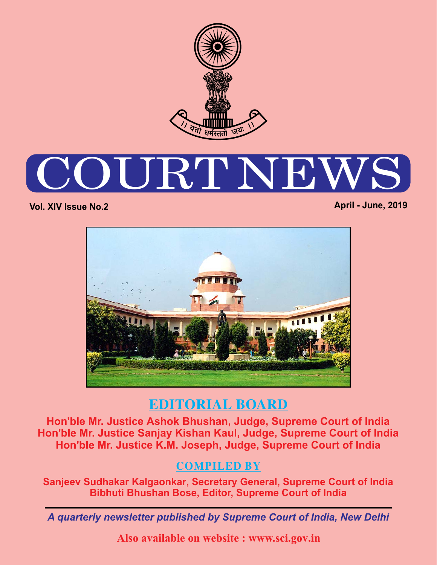

# URT N

**Vol. XIV Issue No.2 April - June, 2019** 



## **EDITORIAL BOARD**

**Hon'ble Mr. Justice Ashok Bhushan, Judge, Supreme Court of India Hon'ble Mr. Justice Sanjay Kishan Kaul, Judge, Supreme Court of India Hon'ble Mr. Justice K.M. Joseph, Judge, Supreme Court of India**

## **COMPILED BY**

**Sanjeev Sudhakar Kalgaonkar, Secretary General, Supreme Court of India Bibhuti Bhushan Bose, Editor, Supreme Court of India**

*A quarterly newsletter published by Supreme Court of India, New Delhi*

**Also available on website : www.sci.gov.in**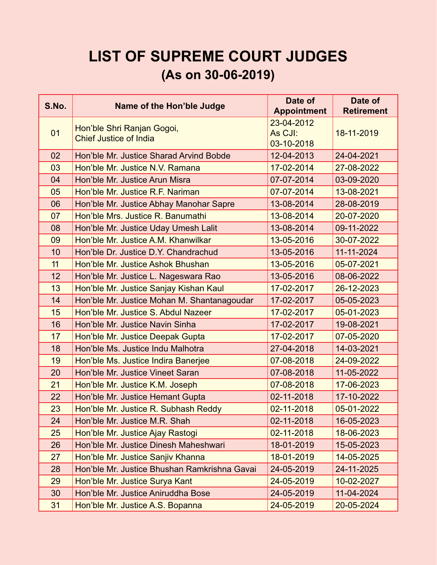## **LIST OF SUPREME COURT JUDGES (As on 30-06-2019)**

| S.No. | Name of the Hon'ble Judge                    | Date of<br><b>Appointment</b> | Date of<br><b>Retirement</b> |
|-------|----------------------------------------------|-------------------------------|------------------------------|
|       |                                              | 23-04-2012                    |                              |
| 01    | Hon'ble Shri Ranjan Gogoi,                   | As CJI:                       | 18-11-2019                   |
|       | <b>Chief Justice of India</b>                | 03-10-2018                    |                              |
| 02    | Hon'ble Mr. Justice Sharad Arvind Bobde      | 12-04-2013                    | 24-04-2021                   |
| 03    | Hon'ble Mr. Justice N.V. Ramana              | 17-02-2014                    | 27-08-2022                   |
| 04    | Hon'ble Mr. Justice Arun Misra               | 07-07-2014                    | 03-09-2020                   |
| 05    | Hon'ble Mr. Justice R.F. Nariman             | 07-07-2014                    | 13-08-2021                   |
| 06    | Hon'ble Mr. Justice Abhay Manohar Sapre      | 13-08-2014                    | 28-08-2019                   |
| 07    | Hon'ble Mrs. Justice R. Banumathi            | 13-08-2014                    | 20-07-2020                   |
| 08    | Hon'ble Mr. Justice Uday Umesh Lalit         | 13-08-2014                    | 09-11-2022                   |
| 09    | Hon'ble Mr. Justice A.M. Khanwilkar          | 13-05-2016                    | 30-07-2022                   |
| 10    | Hon'ble Dr. Justice D.Y. Chandrachud         | 13-05-2016                    | 11-11-2024                   |
| 11    | Hon'ble Mr. Justice Ashok Bhushan            | 13-05-2016                    | 05-07-2021                   |
| 12    | Hon'ble Mr. Justice L. Nageswara Rao         | 13-05-2016                    | 08-06-2022                   |
| 13    | Hon'ble Mr. Justice Sanjay Kishan Kaul       | 17-02-2017                    | 26-12-2023                   |
| 14    | Hon'ble Mr. Justice Mohan M. Shantanagoudar  | 17-02-2017                    | 05-05-2023                   |
| 15    | Hon'ble Mr. Justice S. Abdul Nazeer          | 17-02-2017                    | 05-01-2023                   |
| 16    | Hon'ble Mr. Justice Navin Sinha              | 17-02-2017                    | 19-08-2021                   |
| 17    | Hon'ble Mr. Justice Deepak Gupta             | 17-02-2017                    | 07-05-2020                   |
| 18    | Hon'ble Ms. Justice Indu Malhotra            | 27-04-2018                    | 14-03-2021                   |
| 19    | Hon'ble Ms. Justice Indira Banerjee          | 07-08-2018                    | 24-09-2022                   |
| 20    | Hon'ble Mr. Justice Vineet Saran             | 07-08-2018                    | 11-05-2022                   |
| 21    | Hon'ble Mr. Justice K.M. Joseph              | 07-08-2018                    | 17-06-2023                   |
| 22    | Hon'ble Mr. Justice Hemant Gupta             | 02-11-2018                    | 17-10-2022                   |
| 23    | Hon'ble Mr. Justice R. Subhash Reddy         | 02-11-2018                    | 05-01-2022                   |
| 24    | Hon'ble Mr. Justice M.R. Shah                | 02-11-2018                    | 16-05-2023                   |
| 25    | Hon'ble Mr. Justice Ajay Rastogi             | 02-11-2018                    | 18-06-2023                   |
| 26    | Hon'ble Mr. Justice Dinesh Maheshwari        | 18-01-2019                    | 15-05-2023                   |
| 27    | Hon'ble Mr. Justice Sanjiv Khanna            | 18-01-2019                    | 14-05-2025                   |
| 28    | Hon'ble Mr. Justice Bhushan Ramkrishna Gavai | 24-05-2019                    | 24-11-2025                   |
| 29    | Hon'ble Mr. Justice Surya Kant               | 24-05-2019                    | 10-02-2027                   |
| 30    | Hon'ble Mr. Justice Aniruddha Bose           | 24-05-2019                    | 11-04-2024                   |
| 31    | Hon'ble Mr. Justice A.S. Bopanna             | 24-05-2019                    | 20-05-2024                   |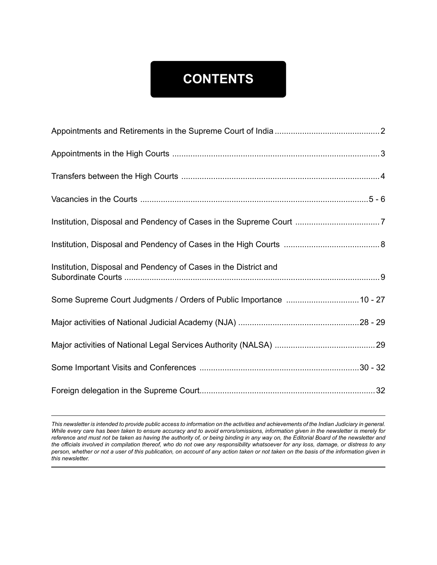## **CONTENTS**

| Institution, Disposal and Pendency of Cases in the Supreme Court 7  |  |
|---------------------------------------------------------------------|--|
|                                                                     |  |
| Institution, Disposal and Pendency of Cases in the District and     |  |
| Some Supreme Court Judgments / Orders of Public Importance  10 - 27 |  |
|                                                                     |  |
|                                                                     |  |
|                                                                     |  |
|                                                                     |  |

*This newsletter is intended to provide public access to information on the activities and achievements of the Indian Judiciary in general. While every care has been taken to ensure accuracy and to avoid errors/omissions, information given in the newsletter is merely for reference and must not be taken as having the authority of, or being binding in any way on, the Editorial Board of the newsletter and the officials involved in compilation thereof, who do not owe any responsibility whatsoever for any loss, damage, or distress to any person, whether or not a user of this publication, on account of any action taken or not taken on the basis of the information given in this newsletter.*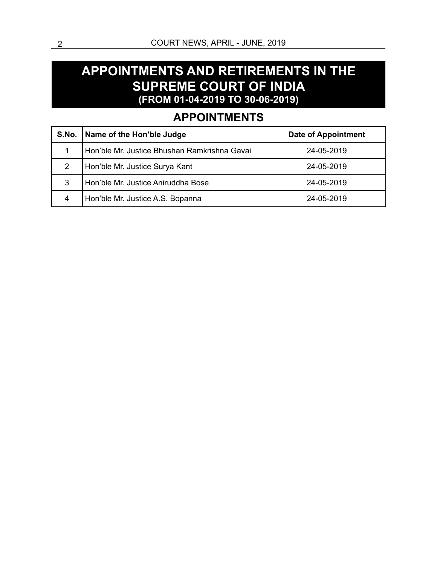## **APPOINTMENTS AND RETIREMENTS IN THE SUPREME COURT OF INDIA (FROM 01-04-2019 TO 30-06-2019)**

## **APPOINTMENTS**

| S.No. | Name of the Hon'ble Judge                    | Date of Appointment |
|-------|----------------------------------------------|---------------------|
|       | Hon'ble Mr. Justice Bhushan Ramkrishna Gavai | 24-05-2019          |
| 2     | Hon'ble Mr. Justice Surya Kant               | 24-05-2019          |
| 3     | Hon'ble Mr. Justice Aniruddha Bose           | 24-05-2019          |
| 4     | Hon'ble Mr. Justice A.S. Bopanna             | 24-05-2019          |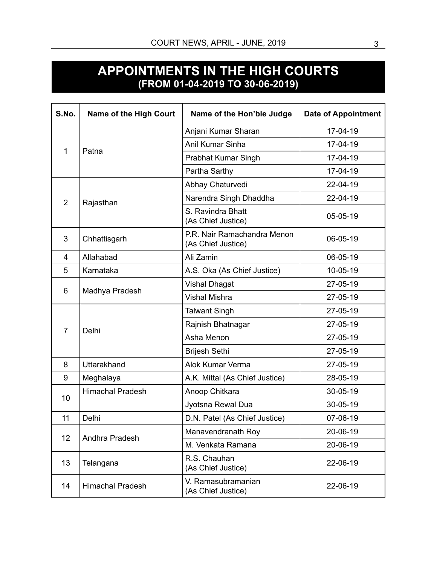## **APPOINTMENTS IN THE HIGH COURTS (FROM 01-04-2019 TO 30-06-2019)**

| S.No.          | Name of the High Court  | Name of the Hon'ble Judge                         | <b>Date of Appointment</b> |
|----------------|-------------------------|---------------------------------------------------|----------------------------|
|                |                         | Anjani Kumar Sharan                               | 17-04-19                   |
|                |                         | Anil Kumar Sinha                                  | 17-04-19                   |
| 1              | Patna                   | Prabhat Kumar Singh                               | 17-04-19                   |
|                |                         | Partha Sarthy                                     | 17-04-19                   |
|                |                         | Abhay Chaturvedi                                  | 22-04-19                   |
| $\overline{2}$ | Rajasthan               | Narendra Singh Dhaddha                            | 22-04-19                   |
|                |                         | S. Ravindra Bhatt<br>(As Chief Justice)           | 05-05-19                   |
| 3              | Chhattisgarh            | P.R. Nair Ramachandra Menon<br>(As Chief Justice) | 06-05-19                   |
| 4              | Allahabad               | Ali Zamin                                         | 06-05-19                   |
| 5              | Karnataka               | A.S. Oka (As Chief Justice)                       | 10-05-19                   |
| 6              | Madhya Pradesh          | Vishal Dhagat                                     | 27-05-19                   |
|                |                         | <b>Vishal Mishra</b>                              | 27-05-19                   |
|                |                         | <b>Talwant Singh</b>                              | 27-05-19                   |
| $\overline{7}$ | Delhi                   | Rajnish Bhatnagar                                 | 27-05-19                   |
|                |                         | Asha Menon                                        | 27-05-19                   |
|                |                         | <b>Brijesh Sethi</b>                              | 27-05-19                   |
| 8              | Uttarakhand             | Alok Kumar Verma                                  | 27-05-19                   |
| 9              | Meghalaya               | A.K. Mittal (As Chief Justice)                    | 28-05-19                   |
| 10             | <b>Himachal Pradesh</b> | Anoop Chitkara                                    | 30-05-19                   |
|                |                         | Jyotsna Rewal Dua                                 | 30-05-19                   |
| 11             | Delhi                   | D.N. Patel (As Chief Justice)                     | 07-06-19                   |
| 12             | Andhra Pradesh          | Manavendranath Roy                                | 20-06-19                   |
|                |                         | M. Venkata Ramana                                 | 20-06-19                   |
| 13             | Telangana               | R.S. Chauhan<br>(As Chief Justice)                | 22-06-19                   |
| 14             | <b>Himachal Pradesh</b> | V. Ramasubramanian<br>(As Chief Justice)          | 22-06-19                   |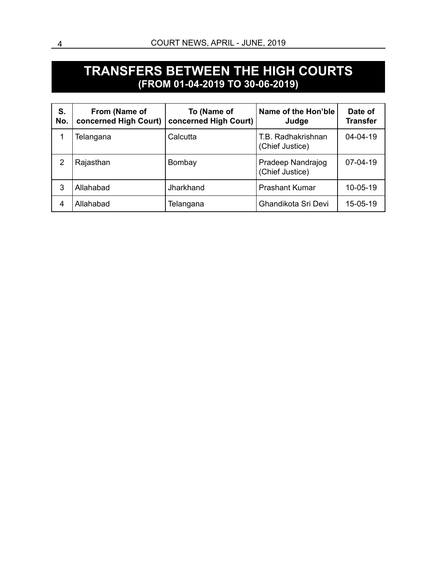## **TRANSFERS BETWEEN THE HIGH COURTS (FROM 01-04-2019 TO 30-06-2019)**

| S.<br>No. | From (Name of<br>concerned High Court) | To (Name of<br>concerned High Court) | Name of the Hon'ble<br>Judge          | Date of<br><b>Transfer</b> |
|-----------|----------------------------------------|--------------------------------------|---------------------------------------|----------------------------|
|           | Telangana                              | Calcutta                             | T.B. Radhakrishnan<br>(Chief Justice) | $04 - 04 - 19$             |
| 2         | Rajasthan                              | Bombay                               | Pradeep Nandrajog<br>(Chief Justice)  | 07-04-19                   |
| 3         | Allahabad                              | Jharkhand                            | <b>Prashant Kumar</b>                 | 10-05-19                   |
| 4         | Allahabad                              | Telangana                            | Ghandikota Sri Devi                   | 15-05-19                   |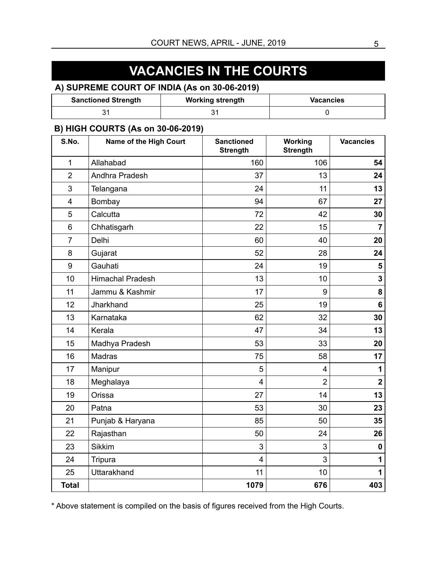## **VACANCIES IN THE COURTS**

#### **A) SUPREME COURT OF INDIA (As on 30-06-2019)**

| <b>Sanctioned Strength</b> | <b>Working strength</b> | <b>Vacancies</b> |
|----------------------------|-------------------------|------------------|
|                            |                         |                  |

#### **B) HIGH COURTS (As on 30-06-2019)**

| S.No.            | Name of the High Court  | <b>Sanctioned</b><br><b>Strength</b> | Working<br><b>Strength</b> | <b>Vacancies</b>        |
|------------------|-------------------------|--------------------------------------|----------------------------|-------------------------|
| $\mathbf 1$      | Allahabad               | 160                                  | 106                        | 54                      |
| $\overline{2}$   | Andhra Pradesh          | 37                                   | 13                         | 24                      |
| 3                | Telangana               | 24                                   | 11                         | 13                      |
| 4                | Bombay                  | 94                                   | 67                         | 27                      |
| 5                | Calcutta                | 72                                   | 42                         | 30                      |
| $6\phantom{1}$   | Chhatisgarh             | 22                                   | 15                         | $\overline{7}$          |
| $\overline{7}$   | Delhi                   | 60                                   | 40                         | 20                      |
| 8                | Gujarat                 | 52                                   | 28                         | 24                      |
| $\boldsymbol{9}$ | Gauhati                 | 24                                   | 19                         | $\overline{\mathbf{5}}$ |
| 10               | <b>Himachal Pradesh</b> | 13                                   | 10                         | $\mathbf 3$             |
| 11               | Jammu & Kashmir         | 17                                   | 9                          | 8                       |
| 12               | Jharkhand               | 25                                   | 19                         | 6                       |
| 13               | Karnataka               | 62                                   | 32                         | 30                      |
| 14               | Kerala                  | 47                                   | 34                         | 13                      |
| 15               | Madhya Pradesh          | 53                                   | 33                         | 20                      |
| 16               | <b>Madras</b>           | 75                                   | 58                         | 17                      |
| 17               | Manipur                 | 5                                    | 4                          | 1                       |
| 18               | Meghalaya               | $\overline{4}$                       | $\overline{2}$             | $\overline{2}$          |
| 19               | Orissa                  | 27                                   | 14                         | 13                      |
| 20               | Patna                   | 53                                   | 30                         | 23                      |
| 21               | Punjab & Haryana        | 85                                   | 50                         | 35                      |
| 22               | Rajasthan               | 50                                   | 24                         | 26                      |
| 23               | <b>Sikkim</b>           | 3                                    | 3                          | $\mathbf 0$             |
| 24               | Tripura                 | $\overline{4}$                       | 3                          | $\mathbf{1}$            |
| 25               | Uttarakhand             | 11                                   | 10                         | 1                       |
| <b>Total</b>     |                         | 1079                                 | 676                        | 403                     |

\* Above statement is compiled on the basis of figures received from the High Courts.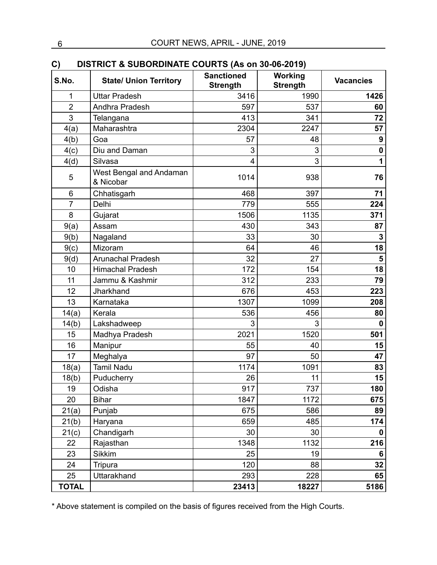| C)             | DISTRICT & SUBORDINATE COURTS (As on 30-06-2019) |                                      |                            |                  |
|----------------|--------------------------------------------------|--------------------------------------|----------------------------|------------------|
| S.No.          | <b>State/ Union Territory</b>                    | <b>Sanctioned</b><br><b>Strength</b> | Working<br><b>Strength</b> | <b>Vacancies</b> |
| 1              | <b>Uttar Pradesh</b>                             | 3416                                 | 1990                       | 1426             |
| $\overline{2}$ | Andhra Pradesh                                   | 597                                  | 537                        | 60               |
| 3              | Telangana                                        | 413                                  | 341                        | 72               |
| 4(a)           | Maharashtra                                      | 2304                                 | 2247                       | 57               |
| 4(b)           | Goa                                              | 57                                   | 48                         | 9                |
| 4(c)           | Diu and Daman                                    | 3                                    | 3                          | $\mathbf 0$      |
| 4(d)           | Silvasa                                          | 4                                    | 3                          | 1                |
| 5              | West Bengal and Andaman<br>& Nicobar             | 1014                                 | 938                        | 76               |
| 6              | Chhatisgarh                                      | 468                                  | 397                        | 71               |
| $\overline{7}$ | Delhi                                            | 779                                  | 555                        | 224              |
| 8              | Gujarat                                          | 1506                                 | 1135                       | 371              |
| 9(a)           | Assam                                            | 430                                  | 343                        | 87               |
| 9(b)           | Nagaland                                         | 33                                   | 30                         | $\mathbf 3$      |
| 9(c)           | Mizoram                                          | 64                                   | 46                         | 18               |
| 9(d)           | <b>Arunachal Pradesh</b>                         | 32                                   | 27                         | 5                |
| 10             | <b>Himachal Pradesh</b>                          | 172                                  | 154                        | 18               |
| 11             | Jammu & Kashmir                                  | 312                                  | 233                        | 79               |
| 12             | Jharkhand                                        | 676                                  | 453                        | 223              |
| 13             | Karnataka                                        | 1307                                 | 1099                       | 208              |
| 14(a)          | Kerala                                           | 536                                  | 456                        | 80               |
| 14(b)          | Lakshadweep                                      | 3                                    | 3                          | 0                |
| 15             | Madhya Pradesh                                   | 2021                                 | 1520                       | 501              |
| 16             | Manipur                                          | 55                                   | 40                         | 15               |
| 17             | Meghalya                                         | 97                                   | 50                         | 47               |
| 18(a)          | <b>Tamil Nadu</b>                                | 1174                                 | 1091                       | 83               |
| 18(b)          | Puducherry                                       | 26                                   | 11                         | 15               |
| 19             | Odisha                                           | 917                                  | 737                        | 180              |
| 20             | <b>Bihar</b>                                     | 1847                                 | 1172                       | 675              |
| 21(a)          | Punjab                                           | 675                                  | 586                        | 89               |
| 21(b)          | Haryana                                          | 659                                  | 485                        | 174              |
| 21(c)          | Chandigarh                                       | 30                                   | 30                         | $\mathbf 0$      |
| 22             | Rajasthan                                        | 1348                                 | 1132                       | 216              |
| 23             | Sikkim                                           | 25                                   | 19                         | 6                |
| 24             | Tripura                                          | 120                                  | 88                         | 32               |
| 25             | Uttarakhand                                      | 293                                  | 228                        | 65               |
| <b>TOTAL</b>   |                                                  | 23413                                | 18227                      | 5186             |

\* Above statement is compiled on the basis of figures received from the High Courts.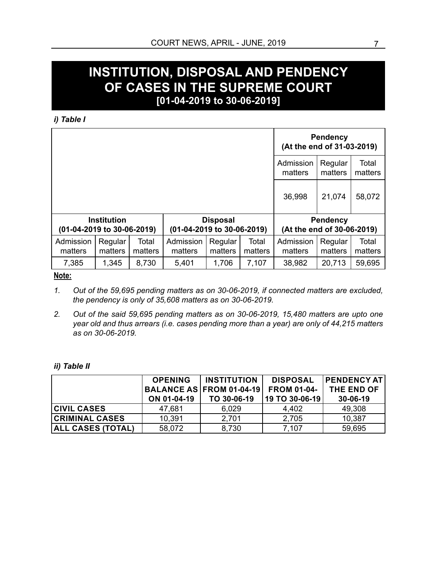## **INSTITUTION, DISPOSAL AND PENDENCY OF CASES IN THE SUPREME COURT [01-04-2019 to 30-06-2019]**

#### *i) Table I*

|                            |                    | <b>Pendency</b><br>(At the end of 31-03-2019) |                            |                    |                  |                            |                    |                  |  |
|----------------------------|--------------------|-----------------------------------------------|----------------------------|--------------------|------------------|----------------------------|--------------------|------------------|--|
|                            |                    |                                               |                            |                    |                  | Admission<br>matters       | Regular<br>matters | Total<br>matters |  |
|                            |                    |                                               |                            |                    |                  | 36,998                     | 21,074             | 58,072           |  |
|                            | <b>Institution</b> |                                               |                            | <b>Disposal</b>    |                  | <b>Pendency</b>            |                    |                  |  |
| (01-04-2019 to 30-06-2019) |                    |                                               | (01-04-2019 to 30-06-2019) |                    |                  | (At the end of 30-06-2019) |                    |                  |  |
| Admission<br>matters       | Regular<br>matters | Total<br>matters                              | Admission<br>matters       | Regular<br>matters | Total<br>matters | Admission<br>matters       | Regular<br>matters | Total<br>matters |  |
| 7,385                      | 1,345              | 8,730                                         | 5,401                      | 1,706              | 7,107            | 38,982                     | 20,713             | 59,695           |  |

#### **Note:**

- *1. Out of the 59,695 pending matters as on 30-06-2019, if connected matters are excluded, the pendency is only of 35,608 matters as on 30-06-2019.*
- *2. Out of the said 59,695 pending matters as on 30-06-2019, 15,480 matters are upto one year old and thus arrears (i.e. cases pending more than a year) are only of 44,215 matters as on 30-06-2019.*

#### *ii) Table II*

|                          | <b>OPENING</b> | <b>INSTITUTION</b>              | <b>DISPOSAL</b>    | <b>PENDENCY AT</b> |
|--------------------------|----------------|---------------------------------|--------------------|--------------------|
|                          |                | <b>BALANCE AS FROM 01-04-19</b> | <b>FROM 01-04-</b> | THE END OF         |
|                          | ON 01-04-19    | TO 30-06-19                     | 19 TO 30-06-19     | 30-06-19           |
| <b>CIVIL CASES</b>       | 47,681         | 6,029                           | 4,402              | 49,308             |
| <b>CRIMINAL CASES</b>    | 10,391         | 2.701                           | 2,705              | 10,387             |
| <b>ALL CASES (TOTAL)</b> | 58,072         | 8,730                           | 7,107              | 59,695             |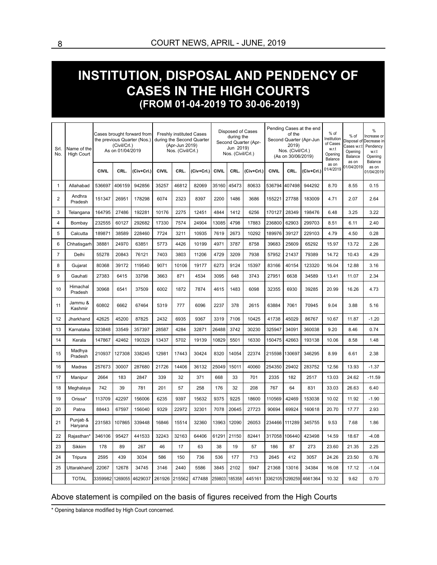## **INSTITUTION, DISPOSAL AND PENDENCY OF CASES IN THE HIGH COURTS (FROM 01-04-2019 TO 30-06-2019)**

| Srl.<br>Name of the<br>No.<br><b>High Court</b> |                     |                 | (Civil/Crl.)<br>As on 01/04/2019 | Cases brought forward from<br>the previous Quarter (Nos.) | <b>Freshly instituted Cases</b><br>during the Second Quarter<br>(Apr-Jun 2019)<br>Nos. (Civil/Crl.) |        |            | Disposed of Cases<br>during the<br>Second Quarter (Apr-<br>Jun 2019)<br>Nos. (Civil/Crl.) |        |            | Pending Cases at the end<br>of the<br>Second Quarter (Apr-Jun<br>2019)<br>Nos. (Civil/Crl.)<br>(As on 30/06/2019) |                 |            | % of<br>Institution<br>of Cases<br>w.r.t<br>Opening<br>Balance | $%$ of<br>Cases w.r.t<br>Opening<br>Balance<br>as on | $\%$<br>Increase or<br>Disposal of Decrease in<br>Pendency<br>w.r.t<br>Opening<br>Balance |
|-------------------------------------------------|---------------------|-----------------|----------------------------------|-----------------------------------------------------------|-----------------------------------------------------------------------------------------------------|--------|------------|-------------------------------------------------------------------------------------------|--------|------------|-------------------------------------------------------------------------------------------------------------------|-----------------|------------|----------------------------------------------------------------|------------------------------------------------------|-------------------------------------------------------------------------------------------|
|                                                 |                     | <b>CIVIL</b>    | CRL.                             | (Civ+Crl.)                                                | <b>CIVIL</b>                                                                                        | CRL.   | (Civ+Crl.) | <b>CIVIL</b>                                                                              | CRL.   | (Civ+Crl.) | <b>CIVIL</b>                                                                                                      | CRL.            | (Civ+Crl.) | as on<br>01/4/2019                                             | 01/04/2019                                           | as on<br>01/04/2019                                                                       |
| 1                                               | Allahabad           | 536697          | 406159                           | 942856                                                    | 35257                                                                                               | 46812  | 82069      | 35160                                                                                     | 45473  | 80633      | 536794                                                                                                            | 407498          | 944292     | 8.70                                                           | 8.55                                                 | 0.15                                                                                      |
| $\overline{2}$                                  | Andhra<br>Pradesh   | 151347          | 26951                            | 178298                                                    | 6074                                                                                                | 2323   | 8397       | 2200                                                                                      | 1486   | 3686       | 155221                                                                                                            | 27788           | 183009     | 4.71                                                           | 2.07                                                 | 2.64                                                                                      |
| 3                                               | Telangana           | 164795          | 27486                            | 192281                                                    | 10176                                                                                               | 2275   | 12451      | 4844                                                                                      | 1412   | 6256       | 170127                                                                                                            | 28349           | 198476     | 6.48                                                           | 3.25                                                 | 3.22                                                                                      |
| $\overline{4}$                                  | Bombay              | 232555          | 60127                            | 292682                                                    | 17330                                                                                               | 7574   | 24904      | 13085                                                                                     | 4798   | 17883      | 236800                                                                                                            | 62903           | 299703     | 8.51                                                           | 6.11                                                 | 2.40                                                                                      |
| 5                                               | Calcutta            | 189871          | 38589                            | 228460                                                    | 7724                                                                                                | 3211   | 10935      | 7619                                                                                      | 2673   | 10292      | 189976                                                                                                            | 39127           | 229103     | 4.79                                                           | 4.50                                                 | 0.28                                                                                      |
| 6                                               | Chhatisgarh         | 38881           | 24970                            | 63851                                                     | 5773                                                                                                | 4426   | 10199      | 4971                                                                                      | 3787   | 8758       | 39683                                                                                                             | 25609           | 65292      | 15.97                                                          | 13.72                                                | 2.26                                                                                      |
| $\overline{7}$                                  | Delhi               | 55278           | 20843                            | 76121                                                     | 7403                                                                                                | 3803   | 11206      | 4729                                                                                      | 3209   | 7938       | 57952                                                                                                             | 21437           | 79389      | 14.72                                                          | 10.43                                                | 4.29                                                                                      |
| 8                                               | Gujarat             | 80368           | 39172                            | 119540                                                    | 9071                                                                                                | 10106  | 19177      | 6273                                                                                      | 9124   | 15397      | 83166                                                                                                             | 40154           | 123320     | 16.04                                                          | 12.88                                                | 3.16                                                                                      |
| 9                                               | Gauhati             | 27383           | 6415                             | 33798                                                     | 3663                                                                                                | 871    | 4534       | 3095                                                                                      | 648    | 3743       | 27951                                                                                                             | 6638            | 34589      | 13.41                                                          | 11.07                                                | 2.34                                                                                      |
| 10                                              | Himachal<br>Pradesh | 30968           | 6541                             | 37509                                                     | 6002                                                                                                | 1872   | 7874       | 4615                                                                                      | 1483   | 6098       | 32355                                                                                                             | 6930            | 39285      | 20.99                                                          | 16.26                                                | 4.73                                                                                      |
| 11                                              | Jammu &<br>Kashmir  | 60802           | 6662                             | 67464                                                     | 5319                                                                                                | 777    | 6096       | 2237                                                                                      | 378    | 2615       | 63884                                                                                                             | 7061            | 70945      | 9.04                                                           | 3.88                                                 | 5.16                                                                                      |
| 12                                              | Jharkhand           | 42625           | 45200                            | 87825                                                     | 2432                                                                                                | 6935   | 9367       | 3319                                                                                      | 7106   | 10425      | 41738                                                                                                             | 45029           | 86767      | 10.67                                                          | 11.87                                                | $-1.20$                                                                                   |
| 13                                              | Karnataka           | 323848          | 33549                            | 357397                                                    | 28587                                                                                               | 4284   | 32871      | 26488                                                                                     | 3742   | 30230      | 325947                                                                                                            | 34091           | 360038     | 9.20                                                           | 8.46                                                 | 0.74                                                                                      |
| 14                                              | Kerala              | 147867          | 42462                            | 190329                                                    | 13437                                                                                               | 5702   | 19139      | 10829                                                                                     | 5501   | 16330      | 150475                                                                                                            | 42663           | 193138     | 10.06                                                          | 8.58                                                 | 1.48                                                                                      |
| 15                                              | Madhya<br>Pradesh   | 210937          | 127308                           | 338245                                                    | 12981                                                                                               | 17443  | 30424      | 8320                                                                                      | 14054  | 22374      | 215598                                                                                                            | 130697          | 346295     | 8.99                                                           | 6.61                                                 | 2.38                                                                                      |
| 16                                              | Madras              | 257673          | 30007                            | 287680                                                    | 21726                                                                                               | 14406  | 36132      | 25049                                                                                     | 15011  | 40060      | 254350                                                                                                            | 29402           | 283752     | 12.56                                                          | 13.93                                                | $-1.37$                                                                                   |
| 17                                              | Manipur             | 2664            | 183                              | 2847                                                      | 339                                                                                                 | 32     | 371        | 668                                                                                       | 33     | 701        | 2335                                                                                                              | 182             | 2517       | 13.03                                                          | 24.62                                                | $-11.59$                                                                                  |
| 18                                              | Meghalaya           | 742             | 39                               | 781                                                       | 201                                                                                                 | 57     | 258        | 176                                                                                       | 32     | 208        | 767                                                                                                               | 64              | 831        | 33.03                                                          | 26.63                                                | 6.40                                                                                      |
| 19                                              | Orissa*             | 113709          | 42297                            | 156006                                                    | 6235                                                                                                | 9397   | 15632      | 9375                                                                                      | 9225   | 18600      | 110569                                                                                                            | 42469           | 153038     | 10.02                                                          | 11.92                                                | $-1.90$                                                                                   |
| 20                                              | Patna               | 88443           | 67597                            | 156040                                                    | 9329                                                                                                | 22972  | 32301      | 7078                                                                                      | 20645  | 27723      | 90694                                                                                                             | 69924           | 160618     | 20.70                                                          | 17.77                                                | 2.93                                                                                      |
| 21                                              | Punjab &<br>Haryana | 231583          | 107865                           | 339448                                                    | 16846                                                                                               | 15514  | 32360      | 13963                                                                                     | 12090  | 26053      | 234466                                                                                                            | 111289          | 345755     | 9.53                                                           | 7.68                                                 | 1.86                                                                                      |
| 22                                              | Rajasthan*          | 346106          | 95427                            | 441533                                                    | 32243                                                                                               | 32163  | 64406      | 61291                                                                                     | 21150  | 82441      | 317058                                                                                                            | 106440          | 423498     | 14.59                                                          | 18.67                                                | $-4.08$                                                                                   |
| 23                                              | Sikkim              | 178             | 89                               | 267                                                       | 46                                                                                                  | 17     | 63         | 38                                                                                        | 19     | 57         | 186                                                                                                               | 87              | 273        | 23.60                                                          | 21.35                                                | 2.25                                                                                      |
| 24                                              | Tripura             | 2595            | 439                              | 3034                                                      | 586                                                                                                 | 150    | 736        | 536                                                                                       | 177    | 713        | 2645                                                                                                              | 412             | 3057       | 24.26                                                          | 23.50                                                | 0.76                                                                                      |
| 25                                              | Uttarakhand         | 22067           | 12678                            | 34745                                                     | 3146                                                                                                | 2440   | 5586       | 3845                                                                                      | 2102   | 5947       | 21368                                                                                                             | 13016           | 34384      | 16.08                                                          | 17.12                                                | $-1.04$                                                                                   |
|                                                 | <b>TOTAL</b>        | 3359982 1269055 |                                  | 4629037                                                   | 261926                                                                                              | 215562 | 477488     | 259803                                                                                    | 185358 | 445161     |                                                                                                                   | 3362105 1299259 | 4661364    | 10.32                                                          | 9.62                                                 | 0.70                                                                                      |

#### Above statement is compiled on the basis of figures received from the High Courts

\* Opening balance modified by High Court concerned.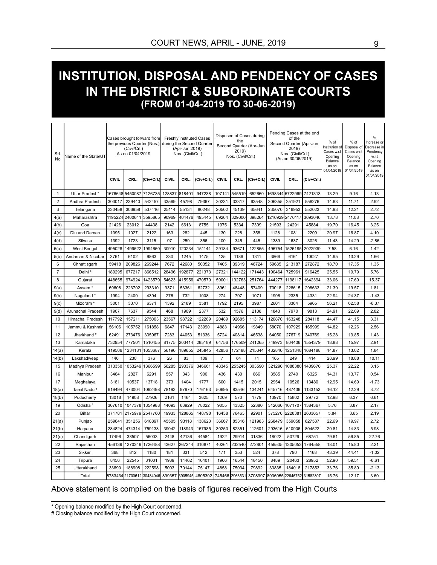## **INSTITUTION, DISPOSAL AND PENDENCY OF CASES IN THE DISTRICT & SUBORDINATE COURTS (FROM 01-04-2019 TO 30-06-2019)**

| Srl.<br>No     | Name of the State/UT    | <b>CIVIL</b> | (Civil/Crl.)<br>As on 01/04/2019<br>CRL. | Cases brought forward from<br>(Civ+Crl.) | Pending Cases at the end<br>Disposed of Cases during<br><b>Freshly instituted Cases</b><br>of the<br>the<br>the previous Quarter (Nos.) during the Second Quarter<br>Second Quarter (Apr-Jun<br>Second Quarter (Apr-Jun<br>(Apr-Jun 2019)<br>2019)<br>2019)<br>Nos. (Civil/Crl.)<br>Nos. (Civil/Crl.)<br>Nos. (Civil/Crl.)<br>(As on 30/06/2019)<br><b>CIVIL</b><br>CIVIL<br><b>CIVIL</b><br>CRL.<br>(Civ+Crl.)<br>CRL.<br>(Civ+Crl.)<br>CRL.<br>(Civ+Crl.) |         | % of<br>Institution of<br>Cases w.r.t<br>Opening<br>Balance<br>as on<br>01/04/2019 | % of<br>Disposal of<br>Cases w.r.t<br>Opening<br>Balance<br>as on<br>01/04/2019 | $\frac{9}{6}$<br>Increase or<br>Decrease in<br>Pendency<br>w.r.t<br>Opening<br>Balance<br>as on<br>01/04/2019 |         |         |          |          |       |       |         |
|----------------|-------------------------|--------------|------------------------------------------|------------------------------------------|-------------------------------------------------------------------------------------------------------------------------------------------------------------------------------------------------------------------------------------------------------------------------------------------------------------------------------------------------------------------------------------------------------------------------------------------------------------|---------|------------------------------------------------------------------------------------|---------------------------------------------------------------------------------|---------------------------------------------------------------------------------------------------------------|---------|---------|----------|----------|-------|-------|---------|
| 1              | Uttar Pradesh           |              | 1676648 5450087                          | 7126735                                  | 128837                                                                                                                                                                                                                                                                                                                                                                                                                                                      | 818401  | 947238                                                                             | 107141                                                                          | 545519                                                                                                        | 652660  | 1698344 | 5722969  | 7421313  | 13.29 | 9.16  | 4.13    |
| $\overline{2}$ | Andhra Pradesh          | 303017       | 239440                                   | 542457                                   | 33569                                                                                                                                                                                                                                                                                                                                                                                                                                                       | 45798   | 79367                                                                              | 30231                                                                           | 33317                                                                                                         | 63548   | 306355  | 251921   | 558276   | 14.63 | 11.71 | 2.92    |
| 3              | Telangana               | 230458       | 306958                                   | 537416                                   | 25114                                                                                                                                                                                                                                                                                                                                                                                                                                                       | 55134   | 80248                                                                              | 20502                                                                           | 45139                                                                                                         | 65641   | 235070  | 316953   | 552023   | 14.93 | 12.21 | 2.72    |
| 4(a)           | Maharashtra             | 1195224      | 2400641                                  | 3595865                                  | 90969                                                                                                                                                                                                                                                                                                                                                                                                                                                       | 404476  | 495445                                                                             | 69264                                                                           | 329000                                                                                                        | 398264  | 1216929 | 2476117  | 3693046  | 13.78 | 11.08 | 2.70    |
| 4(b)           | Goa                     | 21426        | 23012                                    | 44438                                    | 2142                                                                                                                                                                                                                                                                                                                                                                                                                                                        | 6613    | 8755                                                                               | 1975                                                                            | 5334                                                                                                          | 7309    | 21593   | 24291    | 45884    | 19.70 | 16.45 | 3.25    |
| 4(c)           | Diu and Daman           | 1095         | 1027                                     | 2122                                     | 163                                                                                                                                                                                                                                                                                                                                                                                                                                                         | 282     | 445                                                                                | 130                                                                             | 228                                                                                                           | 358     | 1128    | 1081     | 2209     | 20.97 | 16.87 | 4.10    |
| 4(d)           | Silvasa                 | 1392         | 1723                                     | 3115                                     | 97                                                                                                                                                                                                                                                                                                                                                                                                                                                          | 259     | 356                                                                                | 100                                                                             | 345                                                                                                           | 445     | 1389    | 1637     | 3026     | 11.43 | 14.29 | $-2.86$ |
| 5(a)           | West Bengal             | 495028       | 149962:                                  | 1994650                                  | 30910                                                                                                                                                                                                                                                                                                                                                                                                                                                       | 120234  | 151144                                                                             | 29184                                                                           | 93671                                                                                                         | 122855  | 496754  | 1526185  | 2022939  | 7.58  | 6.16  | 1.42    |
| 5(b)           | Andaman & Nicobar       | 3761         | 6102                                     | 9863                                     | 230                                                                                                                                                                                                                                                                                                                                                                                                                                                         | 1245    | 1475                                                                               | 125                                                                             | 1186                                                                                                          | 1311    | 3866    | 6161     | 10027    | 14.95 | 13.29 | 1.66    |
| 6              | Chhattisgarh            | 59418        | 209826                                   | 269244                                   | 7672                                                                                                                                                                                                                                                                                                                                                                                                                                                        | 42680   | 50352                                                                              | 7405                                                                            | 39319                                                                                                         | 46724   | 59685   | 213187   | 272872   | 18.70 | 17.35 | 1.35    |
| $\overline{7}$ | Delhi <sup>#</sup>      | 189295       | 677217                                   | 866512                                   | 28496                                                                                                                                                                                                                                                                                                                                                                                                                                                       | 192877  | 221373                                                                             | 27321                                                                           | 144122                                                                                                        | 171443  | 190464  | 725961   | 916425   | 25.55 | 19.79 | 5.76    |
| 8              | Gujarat                 | 448655       | 974924                                   | 1423579                                  | 54623                                                                                                                                                                                                                                                                                                                                                                                                                                                       | 415956  | 470579                                                                             | 59001                                                                           | 192763                                                                                                        | 251764  | 444277  | 1198117  | 1642394  | 33.06 | 17.69 | 15.37   |
| 9(a)           | Assam <sup>*</sup>      | 69608        | 223702                                   | 293310                                   | 9371                                                                                                                                                                                                                                                                                                                                                                                                                                                        | 53361   | 62732                                                                              | 8961                                                                            | 48448                                                                                                         | 57409   | 70018   | 228615   | 298633   | 21.39 | 19.57 | 1.81    |
| 9(b)           | Nagaland*               | 1994         | 2400                                     | 4394                                     | 276                                                                                                                                                                                                                                                                                                                                                                                                                                                         | 732     | 1008                                                                               | 274                                                                             | 797                                                                                                           | 1071    | 1996    | 2335     | 4331     | 22.94 | 24.37 | $-1.43$ |
| 9(c)           | Mizoram <sup>*</sup>    | 3001         | 3370                                     | 6371                                     | 1392                                                                                                                                                                                                                                                                                                                                                                                                                                                        | 2189    | 3581                                                                               | 1792                                                                            | 2195                                                                                                          | 3987    | 2601    | 3364     | 5965     | 56.21 | 62.58 | $-6.37$ |
| 9(d)           | Arunachal Pradesh       | 1907         | 7637                                     | 9544                                     | 468                                                                                                                                                                                                                                                                                                                                                                                                                                                         | 1909    | 2377                                                                               | 532                                                                             | 1576                                                                                                          | 2108    | 1843    | 7970     | 9813     | 24.91 | 22.09 | 2.82    |
| 10             | Himachal Pradesh        | 117792       | 157211                                   | 275003                                   | 23567                                                                                                                                                                                                                                                                                                                                                                                                                                                       | 98722   | 122289                                                                             | 20489                                                                           | 92685                                                                                                         | 113174  | 120870  | 163248   | 284118   | 44.47 | 41.15 | 3.31    |
| 11             | Jammu & Kashmir         | 56106        | 105752                                   | 161858                                   | 6847                                                                                                                                                                                                                                                                                                                                                                                                                                                        | 17143   | 23990                                                                              | 4883                                                                            | 14966                                                                                                         | 19849   | 58070   | 107929   | 165999   | 14.82 | 12.26 | 2.56    |
| 12             | Jharkhand               | 62491        | 273476                                   | 335967                                   | 7283                                                                                                                                                                                                                                                                                                                                                                                                                                                        | 44053   | 51336                                                                              | 5724                                                                            | 40814                                                                                                         | 46538   | 64050   | 276719   | 340769   | 15.28 | 13.85 | 1.43    |
| 13             | Karnataka               | 732954       | 777501                                   | 1510455                                  | 81775                                                                                                                                                                                                                                                                                                                                                                                                                                                       | 203414  | 285189                                                                             | 64756                                                                           | 176509                                                                                                        | 241265  | 749973  | 804406   | 1554379  | 18.88 | 15.97 | 2.91    |
| 14(a           | Kerala                  | 419506       | 1234181                                  | 1653687                                  | 56190                                                                                                                                                                                                                                                                                                                                                                                                                                                       | 189655  | 245845                                                                             | 42856                                                                           | 172488                                                                                                        | 215344  | 432840  | 1251348  | 1684188  | 14.87 | 13.02 | 1.84    |
| 14(b)          | Lakshadweep             | 146          | 230                                      | 376                                      | 26                                                                                                                                                                                                                                                                                                                                                                                                                                                          | 83      | 109                                                                                | $\overline{7}$                                                                  | 64                                                                                                            | 71      | 165     | 249      | 414      | 28.99 | 18.88 | 10.11   |
| 15             | Madhya Pradesh          | 313350       | 1053249                                  | 1366599                                  | 56285                                                                                                                                                                                                                                                                                                                                                                                                                                                       | 290376  | 346661                                                                             | 48345                                                                           | 255245                                                                                                        | 303590  | 321290  | 1088380  | 1409670  | 25.37 | 22.22 | 3.15    |
| 16             | Manipur                 | 3464         | 2827                                     | 6291                                     | 557                                                                                                                                                                                                                                                                                                                                                                                                                                                         | 343     | 900                                                                                | 436                                                                             | 430                                                                                                           | 866     | 3585    | 2740     | 6325     | 14.31 | 13.77 | 0.54    |
| 17             | Meghalaya               | 3181         | 10537                                    | 13718                                    | 373                                                                                                                                                                                                                                                                                                                                                                                                                                                         | 1404    | 1777                                                                               | 600                                                                             | 1415                                                                                                          | 2015    | 2954    | 10526    | 13480    | 12.95 | 14.69 | $-1.73$ |
| 18(a)          | Tamil Nadu <sup>#</sup> | 619494       | 473004                                   | 1092498                                  | 78193                                                                                                                                                                                                                                                                                                                                                                                                                                                       | 97970   | 176163                                                                             | 50695                                                                           | 83546                                                                                                         | 134241  | 645716  | 487436   | 1133152  | 16.12 | 12.29 | 3.72    |
| 18(b)          | Puducherry              | 13018        | 14908                                    | 27926                                    | 2161                                                                                                                                                                                                                                                                                                                                                                                                                                                        | 1464    | 3625                                                                               | 1209                                                                            | 570                                                                                                           | 1779    | 13970   | 15802    | 29772    | 12.98 | 6.37  | 6.61    |
| 19             | Odisha <sup>#</sup>     | 307610       | 1047378                                  | 1354988                                  | 14093                                                                                                                                                                                                                                                                                                                                                                                                                                                       | 63929   | 78022                                                                              | 9055                                                                            | 43325                                                                                                         | 52380   | 312660  | 1071707  | 1384367  | 5.76  | 3.87  | 2.17    |
| 20             | Bihar                   | 371781       | 2175979                                  | 2547760                                  | 19933                                                                                                                                                                                                                                                                                                                                                                                                                                                       | 128865  | 148798                                                                             | 16438                                                                           | 76463                                                                                                         | 92901   | 375276  | 2228381  | 2603657  | 5.84  | 3.65  | 2.19    |
| 21(a)          | Punjab                  | 259641       | 351256                                   | 610897                                   | 45505                                                                                                                                                                                                                                                                                                                                                                                                                                                       | 93118   | 138623                                                                             | 36667                                                                           | 85316                                                                                                         | 121983  | 268479  | 359058   | 627537   | 22.69 | 19.97 | 2.72    |
| 21(b)          | Haryana                 | 284824       | 474314                                   | 759138                                   | 39042                                                                                                                                                                                                                                                                                                                                                                                                                                                       | 118943  | 157985                                                                             | 30250                                                                           | 82351                                                                                                         | 112601  | 293616  | 510906   | 804522   | 20.81 | 14.83 | 5.98    |
| 21(c)          | Chandigarh              | 17496        | 38507                                    | 56003                                    | 2448                                                                                                                                                                                                                                                                                                                                                                                                                                                        | 42136   | 44584                                                                              | 1922                                                                            | 29914                                                                                                         | 31836   | 18022   | 50729    | 68751    | 79.61 | 56.85 | 22.76   |
| 22             | Rajasthan               | 456139       | 1270349                                  | 1726488                                  | 43627                                                                                                                                                                                                                                                                                                                                                                                                                                                       | 267244  | 310871                                                                             | 40261                                                                           | 232540                                                                                                        | 272801  | 459505  | 1305053  | 1764558  | 18.01 | 15.80 | 2.21    |
| 23             | Sikkim                  | 368          | 812                                      | 1180                                     | 181                                                                                                                                                                                                                                                                                                                                                                                                                                                         | 331     | 512                                                                                | 171                                                                             | 353                                                                                                           | 524     | 378     | 790      | 1168     | 43.39 | 44.41 | $-1.02$ |
| 24             | Tripura                 | 8456         | 22545                                    | 31001                                    | 1939                                                                                                                                                                                                                                                                                                                                                                                                                                                        | 14462   | 16401                                                                              | 1906                                                                            | 16544                                                                                                         | 18450   | 8489    | 20463    | 28952    | 52.90 | 59.51 | $-6.61$ |
| 25             | Uttarakhand             | 33690        | 188908                                   | 222598                                   | 5003                                                                                                                                                                                                                                                                                                                                                                                                                                                        | 70144   | 75147                                                                              | 4858                                                                            | 75034                                                                                                         | 79892   | 33835   | 184018   | 217853   | 33.76 | 35.89 | $-2.13$ |
|                | Total                   |              | 878343421700612                          | 30484046                                 | 899357                                                                                                                                                                                                                                                                                                                                                                                                                                                      | 3905945 | 4805302                                                                            | 745466                                                                          | 296353                                                                                                        | 3708997 | 8936055 | 22646752 | 31582807 | 15.76 | 12.17 | 3.60    |

#### Above statement is compiled on the basis of figures received from the High Courts

\* Opening balance modified by the High Court concerned.

# Closing balance modified by the High Court concerned.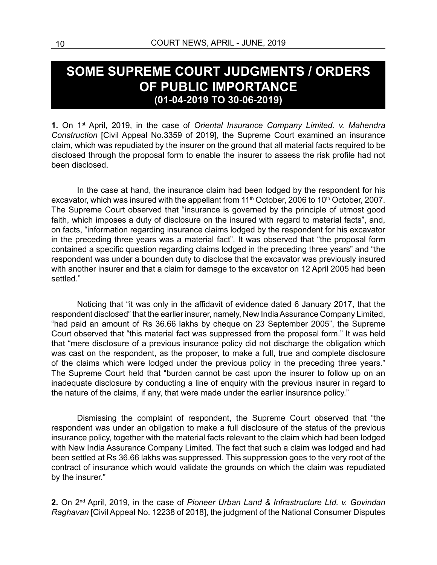## **SOME SUPREME COURT JUDGMENTS / ORDERS OF PUBLIC IMPORTANCE (01-04-2019 TO 30-06-2019)**

**1.** On 1st April, 2019, in the case of *Oriental Insurance Company Limited. v. Mahendra Construction* [Civil Appeal No.3359 of 2019], the Supreme Court examined an insurance claim, which was repudiated by the insurer on the ground that all material facts required to be disclosed through the proposal form to enable the insurer to assess the risk profile had not been disclosed.

In the case at hand, the insurance claim had been lodged by the respondent for his excavator, which was insured with the appellant from 11<sup>th</sup> October, 2006 to 10<sup>th</sup> October, 2007. The Supreme Court observed that "insurance is governed by the principle of utmost good faith, which imposes a duty of disclosure on the insured with regard to material facts", and, on facts, "information regarding insurance claims lodged by the respondent for his excavator in the preceding three years was a material fact". It was observed that "the proposal form contained a specific question regarding claims lodged in the preceding three years" and "the respondent was under a bounden duty to disclose that the excavator was previously insured with another insurer and that a claim for damage to the excavator on 12 April 2005 had been settled."

Noticing that "it was only in the affidavit of evidence dated 6 January 2017, that the respondent disclosed" that the earlier insurer, namely, New India Assurance Company Limited, "had paid an amount of Rs 36.66 lakhs by cheque on 23 September 2005", the Supreme Court observed that "this material fact was suppressed from the proposal form." It was held that "mere disclosure of a previous insurance policy did not discharge the obligation which was cast on the respondent, as the proposer, to make a full, true and complete disclosure of the claims which were lodged under the previous policy in the preceding three years." The Supreme Court held that "burden cannot be cast upon the insurer to follow up on an inadequate disclosure by conducting a line of enquiry with the previous insurer in regard to the nature of the claims, if any, that were made under the earlier insurance policy."

Dismissing the complaint of respondent, the Supreme Court observed that "the respondent was under an obligation to make a full disclosure of the status of the previous insurance policy, together with the material facts relevant to the claim which had been lodged with New India Assurance Company Limited. The fact that such a claim was lodged and had been settled at Rs 36.66 lakhs was suppressed. This suppression goes to the very root of the contract of insurance which would validate the grounds on which the claim was repudiated by the insurer."

**2.** On 2nd April, 2019, in the case of *Pioneer Urban Land & Infrastructure Ltd. v. Govindan Raghavan* [Civil Appeal No. 12238 of 2018], the judgment of the National Consumer Disputes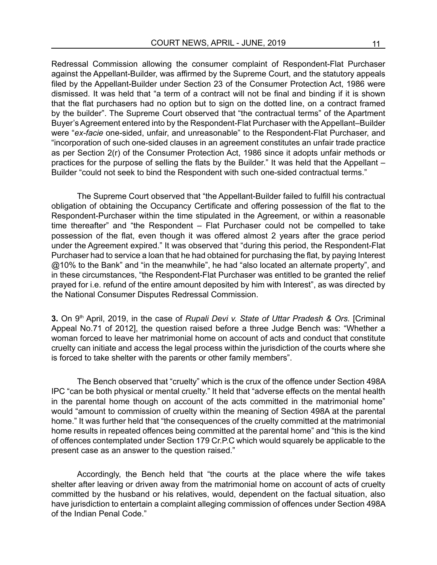Redressal Commission allowing the consumer complaint of Respondent-Flat Purchaser against the Appellant-Builder, was affirmed by the Supreme Court, and the statutory appeals filed by the Appellant-Builder under Section 23 of the Consumer Protection Act, 1986 were dismissed. It was held that "a term of a contract will not be final and binding if it is shown that the flat purchasers had no option but to sign on the dotted line, on a contract framed by the builder". The Supreme Court observed that "the contractual terms" of the Apartment Buyer's Agreement entered into by the Respondent-Flat Purchaser with the Appellant–Builder were "*ex-facie* one-sided, unfair, and unreasonable" to the Respondent-Flat Purchaser, and "incorporation of such one-sided clauses in an agreement constitutes an unfair trade practice as per Section 2(r) of the Consumer Protection Act, 1986 since it adopts unfair methods or practices for the purpose of selling the flats by the Builder." It was held that the Appellant – Builder "could not seek to bind the Respondent with such one-sided contractual terms."

The Supreme Court observed that "the Appellant-Builder failed to fulfill his contractual obligation of obtaining the Occupancy Certificate and offering possession of the flat to the Respondent-Purchaser within the time stipulated in the Agreement, or within a reasonable time thereafter" and "the Respondent – Flat Purchaser could not be compelled to take possession of the flat, even though it was offered almost 2 years after the grace period under the Agreement expired." It was observed that "during this period, the Respondent-Flat Purchaser had to service a loan that he had obtained for purchasing the flat, by paying Interest @10% to the Bank" and "in the meanwhile", he had "also located an alternate property", and in these circumstances, "the Respondent-Flat Purchaser was entitled to be granted the relief prayed for i.e. refund of the entire amount deposited by him with Interest", as was directed by the National Consumer Disputes Redressal Commission.

**3.** On 9th April, 2019, in the case of *Rupali Devi v. State of Uttar Pradesh & Ors.* [Criminal Appeal No.71 of 2012], the question raised before a three Judge Bench was: "Whether a woman forced to leave her matrimonial home on account of acts and conduct that constitute cruelty can initiate and access the legal process within the jurisdiction of the courts where she is forced to take shelter with the parents or other family members".

The Bench observed that "cruelty" which is the crux of the offence under Section 498A IPC "can be both physical or mental cruelty." It held that "adverse effects on the mental health in the parental home though on account of the acts committed in the matrimonial home" would "amount to commission of cruelty within the meaning of Section 498A at the parental home." It was further held that "the consequences of the cruelty committed at the matrimonial home results in repeated offences being committed at the parental home" and "this is the kind of offences contemplated under Section 179 Cr.P.C which would squarely be applicable to the present case as an answer to the question raised."

Accordingly, the Bench held that "the courts at the place where the wife takes shelter after leaving or driven away from the matrimonial home on account of acts of cruelty committed by the husband or his relatives, would, dependent on the factual situation, also have jurisdiction to entertain a complaint alleging commission of offences under Section 498A of the Indian Penal Code."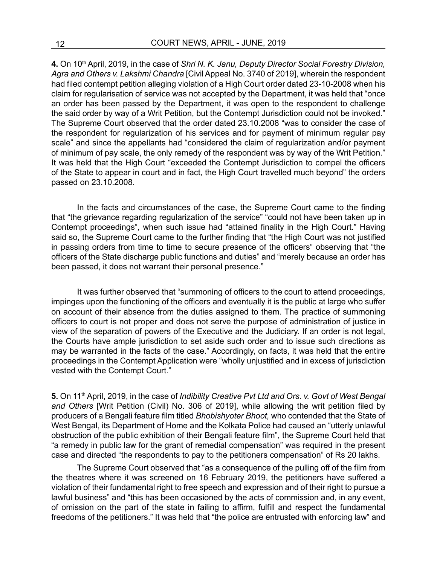4. On 10<sup>th</sup> April, 2019, in the case of *Shri N. K. Janu, Deputy Director Social Forestry Division, Agra and Others v. Lakshmi Chandra* [Civil Appeal No. 3740 of 2019], wherein the respondent had filed contempt petition alleging violation of a High Court order dated 23-10-2008 when his claim for regularisation of service was not accepted by the Department, it was held that "once an order has been passed by the Department, it was open to the respondent to challenge the said order by way of a Writ Petition, but the Contempt Jurisdiction could not be invoked." The Supreme Court observed that the order dated 23.10.2008 "was to consider the case of the respondent for regularization of his services and for payment of minimum regular pay scale" and since the appellants had "considered the claim of regularization and/or payment of minimum of pay scale, the only remedy of the respondent was by way of the Writ Petition." It was held that the High Court "exceeded the Contempt Jurisdiction to compel the officers of the State to appear in court and in fact, the High Court travelled much beyond" the orders passed on 23.10.2008.

In the facts and circumstances of the case, the Supreme Court came to the finding that "the grievance regarding regularization of the service" "could not have been taken up in Contempt proceedings", when such issue had "attained finality in the High Court." Having said so, the Supreme Court came to the further finding that "the High Court was not justified in passing orders from time to time to secure presence of the officers" observing that "the officers of the State discharge public functions and duties" and "merely because an order has been passed, it does not warrant their personal presence."

It was further observed that "summoning of officers to the court to attend proceedings, impinges upon the functioning of the officers and eventually it is the public at large who suffer on account of their absence from the duties assigned to them. The practice of summoning officers to court is not proper and does not serve the purpose of administration of justice in view of the separation of powers of the Executive and the Judiciary. If an order is not legal, the Courts have ample jurisdiction to set aside such order and to issue such directions as may be warranted in the facts of the case." Accordingly, on facts, it was held that the entire proceedings in the Contempt Application were "wholly unjustified and in excess of jurisdiction vested with the Contempt Court."

**5.** On 11th April, 2019, in the case of *[Indibility Creative Pvt Ltd and Ors. v. Govt of West Bengal](https://www.livelaw.in/top-stories/justice-chandrachud-in-west-bengal-film-ban-case-read-judgment-144212?infinitescroll=1)  [and Others](https://www.livelaw.in/top-stories/justice-chandrachud-in-west-bengal-film-ban-case-read-judgment-144212?infinitescroll=1)* [Writ Petition (Civil) No. 306 of 2019], while allowing the writ petition filed by producers of a Bengali feature film titled *Bhobishyoter Bhoot,* who contended that the State of West Bengal, its Department of Home and the Kolkata Police had caused an "utterly unlawful obstruction of the public exhibition of their Bengali feature film", the Supreme Court held that "a remedy in public law for the grant of remedial compensation" was required in the present case and directed "the respondents to pay to the petitioners compensation" of Rs 20 lakhs.

The Supreme Court observed that "as a consequence of the pulling off of the film from the theatres where it was screened on 16 February 2019, the petitioners have suffered a violation of their fundamental right to free speech and expression and of their right to pursue a lawful business" and "this has been occasioned by the acts of commission and, in any event, of omission on the part of the state in failing to affirm, fulfill and respect the fundamental freedoms of the petitioners." It was held that "the police are entrusted with enforcing law" and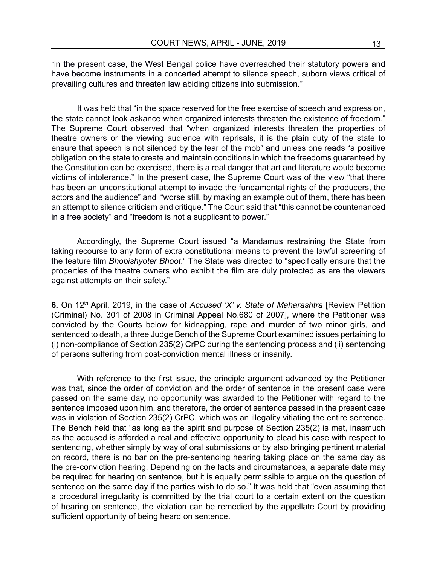"in the present case, the West Bengal police have overreached their statutory powers and have become instruments in a concerted attempt to silence speech, suborn views critical of prevailing cultures and threaten law abiding citizens into submission."

It was held that "in the space reserved for the free exercise of speech and expression, the state cannot look askance when organized interests threaten the existence of freedom." The Supreme Court observed that "when organized interests threaten the properties of theatre owners or the viewing audience with reprisals, it is the plain duty of the state to ensure that speech is not silenced by the fear of the mob" and unless one reads "a positive obligation on the state to create and maintain conditions in which the freedoms guaranteed by the Constitution can be exercised, there is a real danger that art and literature would become victims of intolerance." In the present case, the Supreme Court was of the view "that there has been an unconstitutional attempt to invade the fundamental rights of the producers, the actors and the audience" and "worse still, by making an example out of them, there has been an attempt to silence criticism and critique." The Court said that "this cannot be countenanced in a free society" and "freedom is not a supplicant to power."

Accordingly, the Supreme Court issued "a Mandamus restraining the State from taking recourse to any form of extra constitutional means to prevent the lawful screening of the feature film *Bhobishyoter Bhoot*." The State was directed to "specifically ensure that the properties of the theatre owners who exhibit the film are duly protected as are the viewers against attempts on their safety."

**6.** On 12<sup>th</sup> April, 2019, in the case of *Accused 'X' v. State of Maharashtra* [Review Petition (Criminal) No. 301 of 2008 in Criminal Appeal No.680 of 2007], where the Petitioner was convicted by the Courts below for kidnapping, rape and murder of two minor girls, and sentenced to death, a three Judge Bench of the Supreme Court examined issues pertaining to (i) non-compliance of Section 235(2) CrPC during the sentencing process and (ii) sentencing of persons suffering from post-conviction mental illness or insanity.

With reference to the first issue, the principle argument advanced by the Petitioner was that, since the order of conviction and the order of sentence in the present case were passed on the same day, no opportunity was awarded to the Petitioner with regard to the sentence imposed upon him, and therefore, the order of sentence passed in the present case was in violation of Section 235(2) CrPC, which was an illegality vitiating the entire sentence. The Bench held that "as long as the spirit and purpose of Section 235(2) is met, inasmuch as the accused is afforded a real and effective opportunity to plead his case with respect to sentencing, whether simply by way of oral submissions or by also bringing pertinent material on record, there is no bar on the pre-sentencing hearing taking place on the same day as the pre-conviction hearing. Depending on the facts and circumstances, a separate date may be required for hearing on sentence, but it is equally permissible to argue on the question of sentence on the same day if the parties wish to do so." It was held that "even assuming that a procedural irregularity is committed by the trial court to a certain extent on the question of hearing on sentence, the violation can be remedied by the appellate Court by providing sufficient opportunity of being heard on sentence.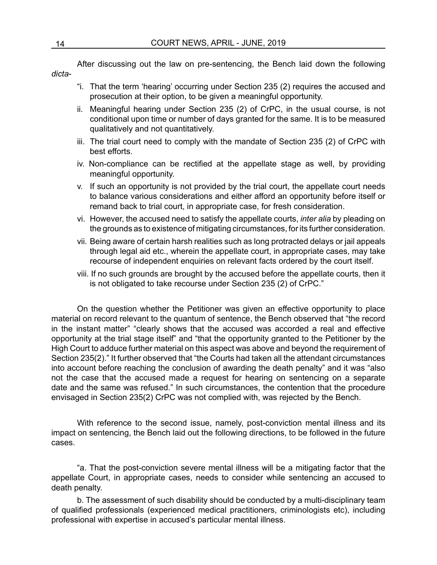After discussing out the law on pre-sentencing, the Bench laid down the following *dicta*-

- "i. That the term 'hearing' occurring under Section 235 (2) requires the accused and prosecution at their option, to be given a meaningful opportunity.
- ii. Meaningful hearing under Section 235 (2) of CrPC, in the usual course, is not conditional upon time or number of days granted for the same. It is to be measured qualitatively and not quantitatively.
- iii. The trial court need to comply with the mandate of Section 235 (2) of CrPC with best efforts.
- iv. Non-compliance can be rectified at the appellate stage as well, by providing meaningful opportunity.
- v. If such an opportunity is not provided by the trial court, the appellate court needs to balance various considerations and either afford an opportunity before itself or remand back to trial court, in appropriate case, for fresh consideration.
- vi. However, the accused need to satisfy the appellate courts, *inter alia* by pleading on the grounds as to existence of mitigating circumstances, for its further consideration.
- vii. Being aware of certain harsh realities such as long protracted delays or jail appeals through legal aid etc., wherein the appellate court, in appropriate cases, may take recourse of independent enquiries on relevant facts ordered by the court itself.
- viii. If no such grounds are brought by the accused before the appellate courts, then it is not obligated to take recourse under Section 235 (2) of CrPC."

On the question whether the Petitioner was given an effective opportunity to place material on record relevant to the quantum of sentence, the Bench observed that "the record in the instant matter" "clearly shows that the accused was accorded a real and effective opportunity at the trial stage itself" and "that the opportunity granted to the Petitioner by the High Court to adduce further material on this aspect was above and beyond the requirement of Section 235(2)." It further observed that "the Courts had taken all the attendant circumstances into account before reaching the conclusion of awarding the death penalty" and it was "also not the case that the accused made a request for hearing on sentencing on a separate date and the same was refused." In such circumstances, the contention that the procedure envisaged in Section 235(2) CrPC was not complied with, was rejected by the Bench.

With reference to the second issue, namely, post-conviction mental illness and its impact on sentencing, the Bench laid out the following directions, to be followed in the future cases.

"a. That the post-conviction severe mental illness will be a mitigating factor that the appellate Court, in appropriate cases, needs to consider while sentencing an accused to death penalty.

b. The assessment of such disability should be conducted by a multi-disciplinary team of qualified professionals (experienced medical practitioners, criminologists etc), including professional with expertise in accused's particular mental illness.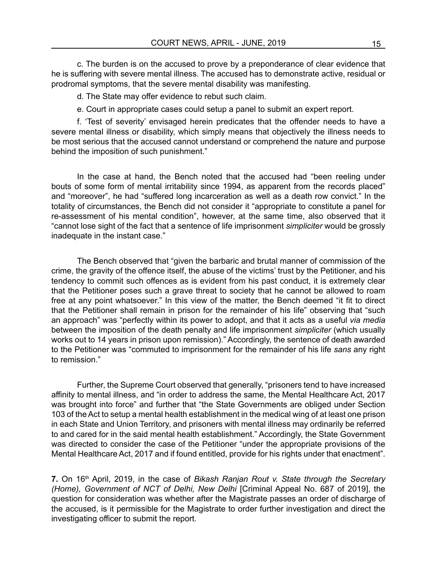c. The burden is on the accused to prove by a preponderance of clear evidence that he is suffering with severe mental illness. The accused has to demonstrate active, residual or prodromal symptoms, that the severe mental disability was manifesting.

d. The State may offer evidence to rebut such claim.

e. Court in appropriate cases could setup a panel to submit an expert report.

f. 'Test of severity' envisaged herein predicates that the offender needs to have a severe mental illness or disability, which simply means that objectively the illness needs to be most serious that the accused cannot understand or comprehend the nature and purpose behind the imposition of such punishment."

In the case at hand, the Bench noted that the accused had "been reeling under bouts of some form of mental irritability since 1994, as apparent from the records placed" and "moreover", he had "suffered long incarceration as well as a death row convict." In the totality of circumstances, the Bench did not consider it "appropriate to constitute a panel for re-assessment of his mental condition", however, at the same time, also observed that it "cannot lose sight of the fact that a sentence of life imprisonment *simpliciter* would be grossly inadequate in the instant case."

The Bench observed that "given the barbaric and brutal manner of commission of the crime, the gravity of the offence itself, the abuse of the victims' trust by the Petitioner, and his tendency to commit such offences as is evident from his past conduct, it is extremely clear that the Petitioner poses such a grave threat to society that he cannot be allowed to roam free at any point whatsoever." In this view of the matter, the Bench deemed "it fit to direct that the Petitioner shall remain in prison for the remainder of his life" observing that "such an approach" was "perfectly within its power to adopt, and that it acts as a useful *via media* between the imposition of the death penalty and life imprisonment *simpliciter* (which usually works out to 14 years in prison upon remission)." Accordingly, the sentence of death awarded to the Petitioner was "commuted to imprisonment for the remainder of his life *sans* any right to remission."

Further, the Supreme Court observed that generally, "prisoners tend to have increased affinity to mental illness, and "in order to address the same, the Mental Healthcare Act, 2017 was brought into force" and further that "the State Governments are obliged under Section 103 of the Act to setup a mental health establishment in the medical wing of at least one prison in each State and Union Territory, and prisoners with mental illness may ordinarily be referred to and cared for in the said mental health establishment." Accordingly, the State Government was directed to consider the case of the Petitioner "under the appropriate provisions of the Mental Healthcare Act, 2017 and if found entitled, provide for his rights under that enactment".

**7.** On 16th April, 2019, in the case of *Bikash Ranjan Rout v. State through the Secretary (Home), Government of NCT of Delhi, New Delhi* [Criminal Appeal No. 687 of 2019], the question for consideration was whether after the Magistrate passes an order of discharge of the accused, is it permissible for the Magistrate to order further investigation and direct the investigating officer to submit the report.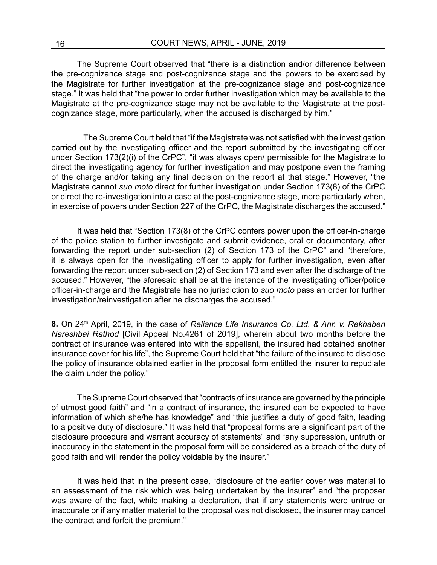The Supreme Court observed that "there is a distinction and/or difference between the pre-cognizance stage and post-cognizance stage and the powers to be exercised by the Magistrate for further investigation at the pre-cognizance stage and post-cognizance stage." It was held that "the power to order further investigation which may be available to the Magistrate at the pre-cognizance stage may not be available to the Magistrate at the postcognizance stage, more particularly, when the accused is discharged by him."

 The Supreme Court held that "if the Magistrate was not satisfied with the investigation carried out by the investigating officer and the report submitted by the investigating officer under Section 173(2)(i) of the CrPC", "it was always open/ permissible for the Magistrate to direct the investigating agency for further investigation and may postpone even the framing of the charge and/or taking any final decision on the report at that stage." However, "the Magistrate cannot *suo moto* direct for further investigation under Section 173(8) of the CrPC or direct the re-investigation into a case at the post-cognizance stage, more particularly when, in exercise of powers under Section 227 of the CrPC, the Magistrate discharges the accused."

It was held that "Section 173(8) of the CrPC confers power upon the officer-in-charge of the police station to further investigate and submit evidence, oral or documentary, after forwarding the report under sub-section (2) of Section 173 of the CrPC" and "therefore, it is always open for the investigating officer to apply for further investigation, even after forwarding the report under sub-section (2) of Section 173 and even after the discharge of the accused." However, "the aforesaid shall be at the instance of the investigating officer/police officer-in-charge and the Magistrate has no jurisdiction to *suo moto* pass an order for further investigation/reinvestigation after he discharges the accused."

**8.** On 24th April, 2019, in the case of *Reliance Life Insurance Co. Ltd. & Anr. v. Rekhaben Nareshbai Rathod* [Civil Appeal No.4261 of 2019], wherein about two months before the contract of insurance was entered into with the appellant, the insured had obtained another insurance cover for his life", the Supreme Court held that "the failure of the insured to disclose the policy of insurance obtained earlier in the proposal form entitled the insurer to repudiate the claim under the policy."

The Supreme Court observed that "contracts of insurance are governed by the principle of utmost good faith" and "in a contract of insurance, the insured can be expected to have information of which she/he has knowledge" and "this justifies a duty of good faith, leading to a positive duty of disclosure." It was held that "proposal forms are a significant part of the disclosure procedure and warrant accuracy of statements" and "any suppression, untruth or inaccuracy in the statement in the proposal form will be considered as a breach of the duty of good faith and will render the policy voidable by the insurer."

It was held that in the present case, "disclosure of the earlier cover was material to an assessment of the risk which was being undertaken by the insurer" and "the proposer was aware of the fact, while making a declaration, that if any statements were untrue or inaccurate or if any matter material to the proposal was not disclosed, the insurer may cancel the contract and forfeit the premium."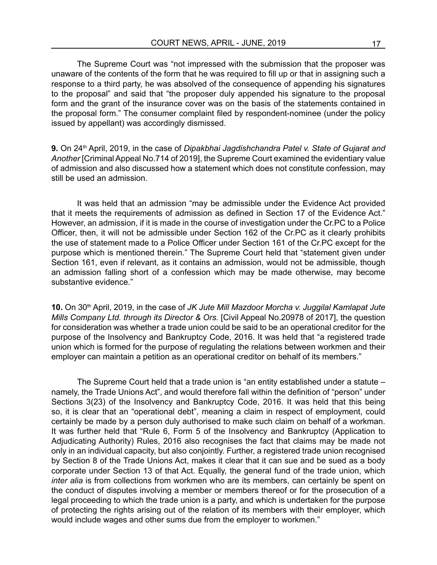The Supreme Court was "not impressed with the submission that the proposer was unaware of the contents of the form that he was required to fill up or that in assigning such a response to a third party, he was absolved of the consequence of appending his signatures to the proposal" and said that "the proposer duly appended his signature to the proposal form and the grant of the insurance cover was on the basis of the statements contained in the proposal form." The consumer complaint filed by respondent-nominee (under the policy issued by appellant) was accordingly dismissed.

**9.** On 24<sup>th</sup> April, 2019, in the case of *Dipakbhai Jagdishchandra Patel v. State of Gujarat and Another* [Criminal Appeal No.714 of 2019], the Supreme Court examined the evidentiary value of admission and also discussed how a statement which does not constitute confession, may still be used an admission.

It was held that an admission "may be admissible under the Evidence Act provided that it meets the requirements of admission as defined in Section 17 of the Evidence Act." However, an admission, if it is made in the course of investigation under the Cr.PC to a Police Officer, then, it will not be admissible under Section 162 of the Cr.PC as it clearly prohibits the use of statement made to a Police Officer under Section 161 of the Cr.PC except for the purpose which is mentioned therein." The Supreme Court held that "statement given under Section 161, even if relevant, as it contains an admission, would not be admissible, though an admission falling short of a confession which may be made otherwise, may become substantive evidence."

10. On 30<sup>th</sup> April, 2019, in the case of *JK Jute Mill Mazdoor Morcha v. Juggilal Kamlapat Jute Mills Company Ltd. through its Director & Ors.* [Civil Appeal No.20978 of 2017], the question for consideration was whether a trade union could be said to be an operational creditor for the purpose of the Insolvency and Bankruptcy Code, 2016. It was held that "a registered trade union which is formed for the purpose of regulating the relations between workmen and their employer can maintain a petition as an operational creditor on behalf of its members."

The Supreme Court held that a trade union is "an entity established under a statute – namely, the Trade Unions Act", and would therefore fall within the definition of "person" under Sections 3(23) of the Insolvency and Bankruptcy Code, 2016. It was held that this being so, it is clear that an "operational debt", meaning a claim in respect of employment, could certainly be made by a person duly authorised to make such claim on behalf of a workman. It was further held that "Rule 6, Form 5 of the Insolvency and Bankruptcy (Application to Adjudicating Authority) Rules, 2016 also recognises the fact that claims may be made not only in an individual capacity, but also conjointly. Further, a registered trade union recognised by Section 8 of the Trade Unions Act, makes it clear that it can sue and be sued as a body corporate under Section 13 of that Act. Equally, the general fund of the trade union, which *inter alia* is from collections from workmen who are its members, can certainly be spent on the conduct of disputes involving a member or members thereof or for the prosecution of a legal proceeding to which the trade union is a party, and which is undertaken for the purpose of protecting the rights arising out of the relation of its members with their employer, which would include wages and other sums due from the employer to workmen."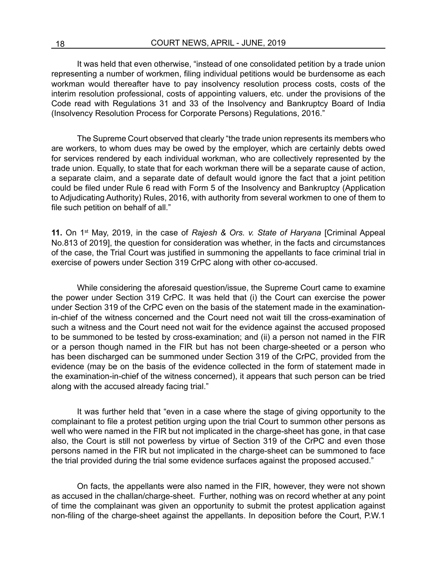It was held that even otherwise, "instead of one consolidated petition by a trade union representing a number of workmen, filing individual petitions would be burdensome as each workman would thereafter have to pay insolvency resolution process costs, costs of the interim resolution professional, costs of appointing valuers, etc. under the provisions of the Code read with Regulations 31 and 33 of the Insolvency and Bankruptcy Board of India (Insolvency Resolution Process for Corporate Persons) Regulations, 2016."

The Supreme Court observed that clearly "the trade union represents its members who are workers, to whom dues may be owed by the employer, which are certainly debts owed for services rendered by each individual workman, who are collectively represented by the trade union. Equally, to state that for each workman there will be a separate cause of action, a separate claim, and a separate date of default would ignore the fact that a joint petition could be filed under Rule 6 read with Form 5 of the Insolvency and Bankruptcy (Application to Adjudicating Authority) Rules, 2016, with authority from several workmen to one of them to file such petition on behalf of all."

**11.** On 1st May, 2019, in the case of *Rajesh & Ors. v. State of Haryana* [Criminal Appeal No.813 of 2019], the question for consideration was whether, in the facts and circumstances of the case, the Trial Court was justified in summoning the appellants to face criminal trial in exercise of powers under Section 319 CrPC along with other co-accused.

While considering the aforesaid question/issue, the Supreme Court came to examine the power under Section 319 CrPC. It was held that (i) the Court can exercise the power under Section 319 of the CrPC even on the basis of the statement made in the examinationin-chief of the witness concerned and the Court need not wait till the cross-examination of such a witness and the Court need not wait for the evidence against the accused proposed to be summoned to be tested by cross-examination; and (ii) a person not named in the FIR or a person though named in the FIR but has not been charge-sheeted or a person who has been discharged can be summoned under Section 319 of the CrPC, provided from the evidence (may be on the basis of the evidence collected in the form of statement made in the examination-in-chief of the witness concerned), it appears that such person can be tried along with the accused already facing trial."

It was further held that "even in a case where the stage of giving opportunity to the complainant to file a protest petition urging upon the trial Court to summon other persons as well who were named in the FIR but not implicated in the charge-sheet has gone, in that case also, the Court is still not powerless by virtue of Section 319 of the CrPC and even those persons named in the FIR but not implicated in the charge-sheet can be summoned to face the trial provided during the trial some evidence surfaces against the proposed accused."

On facts, the appellants were also named in the FIR, however, they were not shown as accused in the challan/charge-sheet. Further, nothing was on record whether at any point of time the complainant was given an opportunity to submit the protest application against non-filing of the charge-sheet against the appellants. In deposition before the Court, P.W.1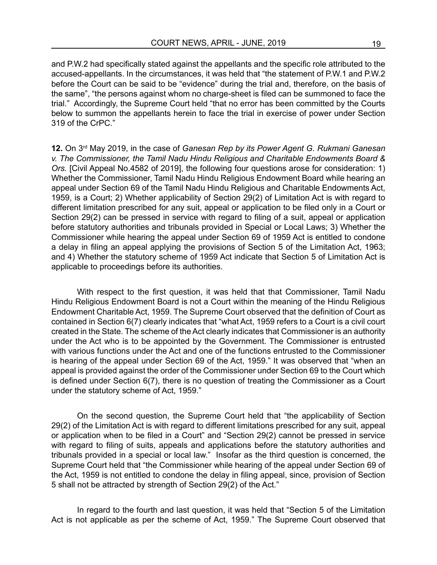and P.W.2 had specifically stated against the appellants and the specific role attributed to the accused-appellants. In the circumstances, it was held that "the statement of P.W.1 and P.W.2 before the Court can be said to be "evidence" during the trial and, therefore, on the basis of the same", "the persons against whom no charge-sheet is filed can be summoned to face the trial." Accordingly, the Supreme Court held "that no error has been committed by the Courts below to summon the appellants herein to face the trial in exercise of power under Section 319 of the CrPC."

**12.** On 3rd May 2019, in the case of *Ganesan Rep by its Power Agent G. Rukmani Ganesan v. The Commissioner, the Tamil Nadu Hindu Religious and Charitable Endowments Board & Ors.* [Civil Appeal No.4582 of 2019], the following four questions arose for consideration: 1) Whether the Commissioner, Tamil Nadu Hindu Religious Endowment Board while hearing an appeal under Section 69 of the Tamil Nadu Hindu Religious and Charitable Endowments Act, 1959, is a Court; 2) Whether applicability of Section 29(2) of Limitation Act is with regard to different limitation prescribed for any suit, appeal or application to be filed only in a Court or Section 29(2) can be pressed in service with regard to filing of a suit, appeal or application before statutory authorities and tribunals provided in Special or Local Laws; 3) Whether the Commissioner while hearing the appeal under Section 69 of 1959 Act is entitled to condone a delay in filing an appeal applying the provisions of Section 5 of the Limitation Act, 1963; and 4) Whether the statutory scheme of 1959 Act indicate that Section 5 of Limitation Act is applicable to proceedings before its authorities.

With respect to the first question, it was held that that Commissioner, Tamil Nadu Hindu Religious Endowment Board is not a Court within the meaning of the Hindu Religious Endowment Charitable Act, 1959. The Supreme Court observed that the definition of Court as contained in Section 6(7) clearly indicates that "what Act, 1959 refers to a Court is a civil court created in the State. The scheme of the Act clearly indicates that Commissioner is an authority under the Act who is to be appointed by the Government. The Commissioner is entrusted with various functions under the Act and one of the functions entrusted to the Commissioner is hearing of the appeal under Section 69 of the Act, 1959." It was observed that "when an appeal is provided against the order of the Commissioner under Section 69 to the Court which is defined under Section 6(7), there is no question of treating the Commissioner as a Court under the statutory scheme of Act, 1959."

On the second question, the Supreme Court held that "the applicability of Section 29(2) of the Limitation Act is with regard to different limitations prescribed for any suit, appeal or application when to be filed in a Court" and "Section 29(2) cannot be pressed in service with regard to filing of suits, appeals and applications before the statutory authorities and tribunals provided in a special or local law." Insofar as the third question is concerned, the Supreme Court held that "the Commissioner while hearing of the appeal under Section 69 of the Act, 1959 is not entitled to condone the delay in filing appeal, since, provision of Section 5 shall not be attracted by strength of Section 29(2) of the Act."

In regard to the fourth and last question, it was held that "Section 5 of the Limitation Act is not applicable as per the scheme of Act, 1959." The Supreme Court observed that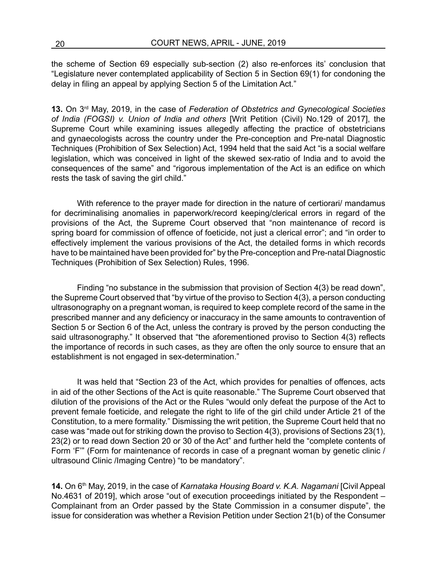the scheme of Section 69 especially sub-section (2) also re-enforces its' conclusion that "Legislature never contemplated applicability of Section 5 in Section 69(1) for condoning the delay in filing an appeal by applying Section 5 of the Limitation Act."

**13.** On 3rd May, 2019, in the case of *Federation of Obstetrics and Gynecological Societies of India (FOGSI) v. Union of India and others* [Writ Petition (Civil) No.129 of 2017], the Supreme Court while examining issues allegedly affecting the practice of obstetricians and gynaecologists across the country under the Pre-conception and Pre-natal Diagnostic Techniques (Prohibition of Sex Selection) Act, 1994 held that the said Act "is a social welfare legislation, which was conceived in light of the skewed sex-ratio of India and to avoid the consequences of the same" and "rigorous implementation of the Act is an edifice on which rests the task of saving the girl child."

With reference to the prayer made for direction in the nature of certiorari/ mandamus for decriminalising anomalies in paperwork/record keeping/clerical errors in regard of the provisions of the Act, the Supreme Court observed that "non maintenance of record is spring board for commission of offence of foeticide, not just a clerical error"; and "in order to effectively implement the various provisions of the Act, the detailed forms in which records have to be maintained have been provided for" by the Pre-conception and Pre-natal Diagnostic Techniques (Prohibition of Sex Selection) Rules, 1996.

Finding "no substance in the submission that provision of Section 4(3) be read down", the Supreme Court observed that "by virtue of the proviso to Section 4(3), a person conducting ultrasonography on a pregnant woman, is required to keep complete record of the same in the prescribed manner and any deficiency or inaccuracy in the same amounts to contravention of Section 5 or Section 6 of the Act, unless the contrary is proved by the person conducting the said ultrasonography." It observed that "the aforementioned proviso to Section 4(3) reflects the importance of records in such cases, as they are often the only source to ensure that an establishment is not engaged in sex-determination."

It was held that "Section 23 of the Act, which provides for penalties of offences, acts in aid of the other Sections of the Act is quite reasonable." The Supreme Court observed that dilution of the provisions of the Act or the Rules "would only defeat the purpose of the Act to prevent female foeticide, and relegate the right to life of the girl child under Article 21 of the Constitution, to a mere formality." Dismissing the writ petition, the Supreme Court held that no case was "made out for striking down the proviso to Section 4(3), provisions of Sections 23(1), 23(2) or to read down Section 20 or 30 of the Act" and further held the "complete contents of Form 'F'" (Form for maintenance of records in case of a pregnant woman by genetic clinic / ultrasound Clinic /Imaging Centre) "to be mandatory".

14. On 6<sup>th</sup> May, 2019, in the case of *Karnataka Housing Board v. K.A. Nagamani* [Civil Appeal] No.4631 of 2019], which arose "out of execution proceedings initiated by the Respondent – Complainant from an Order passed by the State Commission in a consumer dispute", the issue for consideration was whether a Revision Petition under Section 21(b) of the Consumer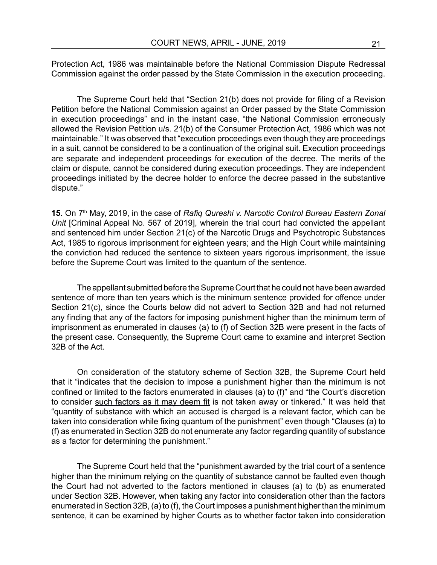Protection Act, 1986 was maintainable before the National Commission Dispute Redressal Commission against the order passed by the State Commission in the execution proceeding.

The Supreme Court held that "Section 21(b) does not provide for filing of a Revision Petition before the National Commission against an Order passed by the State Commission in execution proceedings" and in the instant case, "the National Commission erroneously allowed the Revision Petition u/s. 21(b) of the Consumer Protection Act, 1986 which was not maintainable." It was observed that "execution proceedings even though they are proceedings in a suit, cannot be considered to be a continuation of the original suit. Execution proceedings are separate and independent proceedings for execution of the decree. The merits of the claim or dispute, cannot be considered during execution proceedings. They are independent proceedings initiated by the decree holder to enforce the decree passed in the substantive dispute."

15. On 7<sup>th</sup> May, 2019, in the case of *Rafiq Qureshi v. Narcotic Control Bureau Eastern Zonal Unit* [Criminal Appeal No. 567 of 2019], wherein the trial court had convicted the appellant and sentenced him under Section 21(c) of the Narcotic Drugs and Psychotropic Substances Act, 1985 to rigorous imprisonment for eighteen years; and the High Court while maintaining the conviction had reduced the sentence to sixteen years rigorous imprisonment, the issue before the Supreme Court was limited to the quantum of the sentence.

The appellant submitted before the Supreme Court that he could not have been awarded sentence of more than ten years which is the minimum sentence provided for offence under Section 21(c), since the Courts below did not advert to Section 32B and had not returned any finding that any of the factors for imposing punishment higher than the minimum term of imprisonment as enumerated in clauses (a) to (f) of Section 32B were present in the facts of the present case. Consequently, the Supreme Court came to examine and interpret Section 32B of the Act.

On consideration of the statutory scheme of Section 32B, the Supreme Court held that it "indicates that the decision to impose a punishment higher than the minimum is not confined or limited to the factors enumerated in clauses (a) to (f)" and "the Court's discretion to consider such factors as it may deem fit is not taken away or tinkered." It was held that "quantity of substance with which an accused is charged is a relevant factor, which can be taken into consideration while fixing quantum of the punishment" even though "Clauses (a) to (f) as enumerated in Section 32B do not enumerate any factor regarding quantity of substance as a factor for determining the punishment."

The Supreme Court held that the "punishment awarded by the trial court of a sentence higher than the minimum relying on the quantity of substance cannot be faulted even though the Court had not adverted to the factors mentioned in clauses (a) to (b) as enumerated under Section 32B. However, when taking any factor into consideration other than the factors enumerated in Section 32B, (a) to (f), the Court imposes a punishment higher than the minimum sentence, it can be examined by higher Courts as to whether factor taken into consideration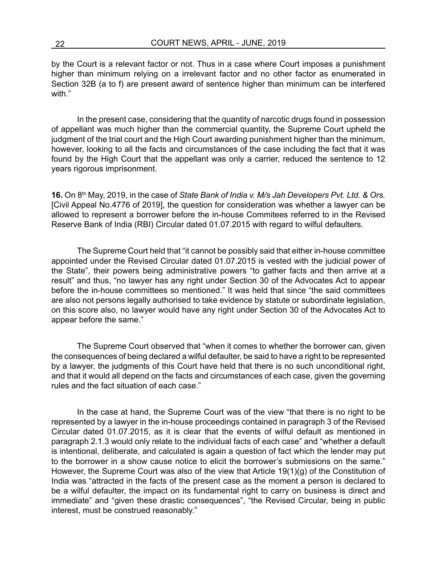by the Court is a relevant factor or not. Thus in a case where Court imposes a punishment higher than minimum relying on a irrelevant factor and no other factor as enumerated in Section 32B (a to f) are present award of sentence higher than minimum can be interfered with."

In the present case, considering that the quantity of narcotic drugs found in possession of appellant was much higher than the commercial quantity, the Supreme Court upheld the judgment of the trial court and the High Court awarding punishment higher than the minimum, however, looking to all the facts and circumstances of the case including the fact that it was found by the High Court that the appellant was only a carrier, reduced the sentence to 12 years rigorous imprisonment.

**16.** On 8th May, 2019, in the case of *State Bank of India v. M/s Jah Developers Pvt. Ltd. & Ors.* [Civil Appeal No.4776 of 2019], the question for consideration was whether a lawyer can be allowed to represent a borrower before the in-house Commitees referred to in the Revised Reserve Bank of India (RBI) Circular dated 01.07.2015 with regard to wilful defaulters.

The Supreme Court held that "it cannot be possibly said that either in-house committee appointed under the Revised Circular dated 01.07.2015 is vested with the judicial power of the State", their powers being administrative powers "to gather facts and then arrive at a result" and thus, "no lawyer has any right under Section 30 of the Advocates Act to appear before the in-house committees so mentioned." It was held that since "the said committees are also not persons legally authorised to take evidence by statute or subordinate legislation, on this score also, no lawyer would have any right under Section 30 of the Advocates Act to appear before the same."

The Supreme Court observed that "when it comes to whether the borrower can, given the consequences of being declared a wilful defaulter, be said to have a right to be represented by a lawyer, the judgments of this Court have held that there is no such unconditional right, and that it would all depend on the facts and circumstances of each case, given the governing rules and the fact situation of each case."

In the case at hand, the Supreme Court was of the view "that there is no right to be represented by a lawyer in the in-house proceedings contained in paragraph 3 of the Revised Circular dated 01.07.2015, as it is clear that the events of wilful default as mentioned in paragraph 2.1.3 would only relate to the individual facts of each case" and "whether a default is intentional, deliberate, and calculated is again a question of fact which the lender may put to the borrower in a show cause notice to elicit the borrower's submissions on the same." However, the Supreme Court was also of the view that Article 19(1)(g) of the Constitution of India was "attracted in the facts of the present case as the moment a person is declared to be a wilful defaulter, the impact on its fundamental right to carry on business is direct and immediate" and "given these drastic consequences", "the Revised Circular, being in public interest, must be construed reasonably."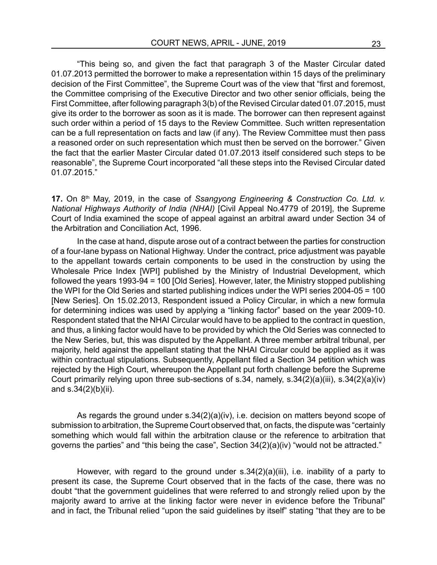"This being so, and given the fact that paragraph 3 of the Master Circular dated 01.07.2013 permitted the borrower to make a representation within 15 days of the preliminary decision of the First Committee", the Supreme Court was of the view that "first and foremost, the Committee comprising of the Executive Director and two other senior officials, being the First Committee, after following paragraph 3(b) of the Revised Circular dated 01.07.2015, must give its order to the borrower as soon as it is made. The borrower can then represent against such order within a period of 15 days to the Review Committee. Such written representation can be a full representation on facts and law (if any). The Review Committee must then pass a reasoned order on such representation which must then be served on the borrower." Given the fact that the earlier Master Circular dated 01.07.2013 itself considered such steps to be reasonable", the Supreme Court incorporated "all these steps into the Revised Circular dated 01.07.2015."

17. On 8<sup>th</sup> May, 2019, in the case of *Ssangyong Engineering & Construction Co. Ltd. v. National Highways Authority of India (NHAI)* [Civil Appeal No.4779 of 2019], the Supreme Court of India examined the scope of appeal against an arbitral award under Section 34 of the Arbitration and Conciliation Act, 1996.

In the case at hand, dispute arose out of a contract between the parties for construction of a four-lane bypass on National Highway. Under the contract, price adjustment was payable to the appellant towards certain components to be used in the construction by using the Wholesale Price Index [WPI] published by the Ministry of Industrial Development, which followed the years 1993-94 = 100 [Old Series]. However, later, the Ministry stopped publishing the WPI for the Old Series and started publishing indices under the WPI series 2004-05 = 100 [New Series]. On 15.02.2013, Respondent issued a Policy Circular, in which a new formula for determining indices was used by applying a "linking factor" based on the year 2009-10. Respondent stated that the NHAI Circular would have to be applied to the contract in question, and thus, a linking factor would have to be provided by which the Old Series was connected to the New Series, but, this was disputed by the Appellant. A three member arbitral tribunal, per majority, held against the appellant stating that the NHAI Circular could be applied as it was within contractual stipulations. Subsequently, Appellant filed a Section 34 petition which was rejected by the High Court, whereupon the Appellant put forth challenge before the Supreme Court primarily relying upon three sub-sections of s.34, namely, s.34(2)(a)(iii), s.34(2)(a)(iv) and s.34(2)(b)(ii).

As regards the ground under s.34(2)(a)(iv), i.e. decision on matters beyond scope of submission to arbitration, the Supreme Court observed that, on facts, the dispute was "certainly something which would fall within the arbitration clause or the reference to arbitration that governs the parties" and "this being the case", Section 34(2)(a)(iv) "would not be attracted."

However, with regard to the ground under s.34(2)(a)(iii), i.e. inability of a party to present its case, the Supreme Court observed that in the facts of the case, there was no doubt "that the government guidelines that were referred to and strongly relied upon by the majority award to arrive at the linking factor were never in evidence before the Tribunal" and in fact, the Tribunal relied "upon the said guidelines by itself" stating "that they are to be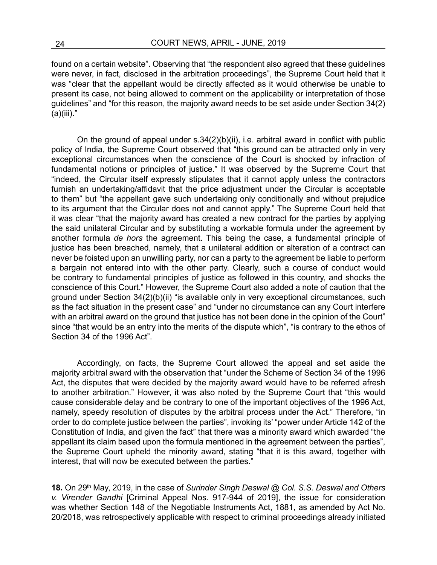found on a certain website". Observing that "the respondent also agreed that these guidelines were never, in fact, disclosed in the arbitration proceedings", the Supreme Court held that it was "clear that the appellant would be directly affected as it would otherwise be unable to present its case, not being allowed to comment on the applicability or interpretation of those guidelines" and "for this reason, the majority award needs to be set aside under Section 34(2)  $(a)(iii)."$ 

On the ground of appeal under s.34(2)(b)(ii), i.e. arbitral award in conflict with public policy of India, the Supreme Court observed that "this ground can be attracted only in very exceptional circumstances when the conscience of the Court is shocked by infraction of fundamental notions or principles of justice." It was observed by the Supreme Court that "indeed, the Circular itself expressly stipulates that it cannot apply unless the contractors furnish an undertaking/affidavit that the price adjustment under the Circular is acceptable to them" but "the appellant gave such undertaking only conditionally and without prejudice to its argument that the Circular does not and cannot apply." The Supreme Court held that it was clear "that the majority award has created a new contract for the parties by applying the said unilateral Circular and by substituting a workable formula under the agreement by another formula *de hors* the agreement. This being the case, a fundamental principle of justice has been breached, namely, that a unilateral addition or alteration of a contract can never be foisted upon an unwilling party, nor can a party to the agreement be liable to perform a bargain not entered into with the other party. Clearly, such a course of conduct would be contrary to fundamental principles of justice as followed in this country, and shocks the conscience of this Court." However, the Supreme Court also added a note of caution that the ground under Section 34(2)(b)(ii) "is available only in very exceptional circumstances, such as the fact situation in the present case" and "under no circumstance can any Court interfere with an arbitral award on the ground that justice has not been done in the opinion of the Court" since "that would be an entry into the merits of the dispute which", "is contrary to the ethos of Section 34 of the 1996 Act".

Accordingly, on facts, the Supreme Court allowed the appeal and set aside the majority arbitral award with the observation that "under the Scheme of Section 34 of the 1996 Act, the disputes that were decided by the majority award would have to be referred afresh to another arbitration." However, it was also noted by the Supreme Court that "this would cause considerable delay and be contrary to one of the important objectives of the 1996 Act, namely, speedy resolution of disputes by the arbitral process under the Act." Therefore, "in order to do complete justice between the parties", invoking its' "power under Article 142 of the Constitution of India, and given the fact" that there was a minority award which awarded "the appellant its claim based upon the formula mentioned in the agreement between the parties", the Supreme Court upheld the minority award, stating "that it is this award, together with interest, that will now be executed between the parties."

**18.** On 29th May, 2019, in the case of *Surinder Singh Deswal @ Col. S.S. Deswal and Others v. Virender Gandhi* [Criminal Appeal Nos. 917-944 of 2019], the issue for consideration was whether Section 148 of the Negotiable Instruments Act, 1881, as amended by Act No. 20/2018, was retrospectively applicable with respect to criminal proceedings already initiated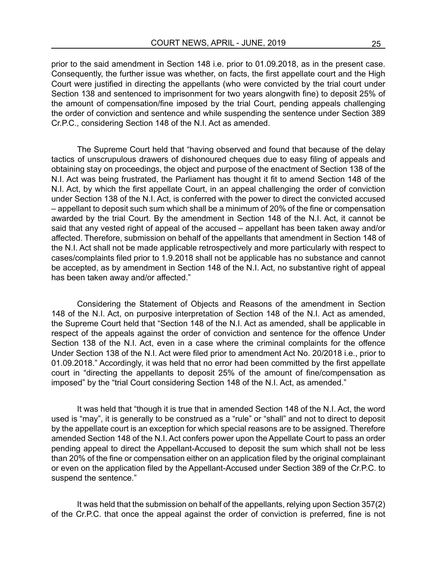prior to the said amendment in Section 148 i.e. prior to 01.09.2018, as in the present case. Consequently, the further issue was whether, on facts, the first appellate court and the High Court were justified in directing the appellants (who were convicted by the trial court under Section 138 and sentenced to imprisonment for two years alongwith fine) to deposit 25% of the amount of compensation/fine imposed by the trial Court, pending appeals challenging the order of conviction and sentence and while suspending the sentence under Section 389 Cr.P.C., considering Section 148 of the N.I. Act as amended.

The Supreme Court held that "having observed and found that because of the delay tactics of unscrupulous drawers of dishonoured cheques due to easy filing of appeals and obtaining stay on proceedings, the object and purpose of the enactment of Section 138 of the N.I. Act was being frustrated, the Parliament has thought it fit to amend Section 148 of the N.I. Act, by which the first appellate Court, in an appeal challenging the order of conviction under Section 138 of the N.I. Act, is conferred with the power to direct the convicted accused – appellant to deposit such sum which shall be a minimum of 20% of the fine or compensation awarded by the trial Court. By the amendment in Section 148 of the N.I. Act, it cannot be said that any vested right of appeal of the accused – appellant has been taken away and/or affected. Therefore, submission on behalf of the appellants that amendment in Section 148 of the N.I. Act shall not be made applicable retrospectively and more particularly with respect to cases/complaints filed prior to 1.9.2018 shall not be applicable has no substance and cannot be accepted, as by amendment in Section 148 of the N.I. Act, no substantive right of appeal has been taken away and/or affected."

Considering the Statement of Objects and Reasons of the amendment in Section 148 of the N.I. Act, on purposive interpretation of Section 148 of the N.I. Act as amended, the Supreme Court held that "Section 148 of the N.I. Act as amended, shall be applicable in respect of the appeals against the order of conviction and sentence for the offence Under Section 138 of the N.I. Act, even in a case where the criminal complaints for the offence Under Section 138 of the N.I. Act were filed prior to amendment Act No. 20/2018 i.e., prior to 01.09.2018." Accordingly, it was held that no error had been committed by the first appellate court in "directing the appellants to deposit 25% of the amount of fine/compensation as imposed" by the "trial Court considering Section 148 of the N.I. Act, as amended."

It was held that "though it is true that in amended Section 148 of the N.I. Act, the word used is "may", it is generally to be construed as a "rule" or "shall" and not to direct to deposit by the appellate court is an exception for which special reasons are to be assigned. Therefore amended Section 148 of the N.I. Act confers power upon the Appellate Court to pass an order pending appeal to direct the Appellant-Accused to deposit the sum which shall not be less than 20% of the fine or compensation either on an application filed by the original complainant or even on the application filed by the Appellant-Accused under Section 389 of the Cr.P.C. to suspend the sentence."

It was held that the submission on behalf of the appellants, relying upon Section 357(2) of the Cr.P.C. that once the appeal against the order of conviction is preferred, fine is not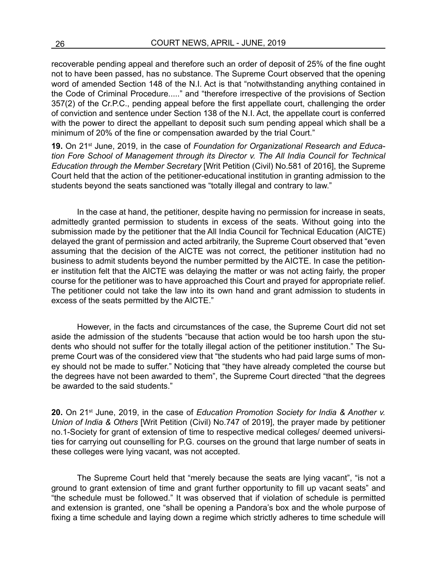recoverable pending appeal and therefore such an order of deposit of 25% of the fine ought not to have been passed, has no substance. The Supreme Court observed that the opening word of amended Section 148 of the N.I. Act is that "notwithstanding anything contained in the Code of Criminal Procedure....." and "therefore irrespective of the provisions of Section 357(2) of the Cr.P.C., pending appeal before the first appellate court, challenging the order of conviction and sentence under Section 138 of the N.I. Act, the appellate court is conferred with the power to direct the appellant to deposit such sum pending appeal which shall be a minimum of 20% of the fine or compensation awarded by the trial Court."

19. On 21<sup>st</sup> June, 2019, in the case of Foundation for Organizational Research and Educa*tion Fore School of Management through its Director v. The All India Council for Technical Education through the Member Secretary* [Writ Petition (Civil) No.581 of 2016], the Supreme Court held that the action of the petitioner-educational institution in granting admission to the students beyond the seats sanctioned was "totally illegal and contrary to law."

In the case at hand, the petitioner, despite having no permission for increase in seats, admittedly granted permission to students in excess of the seats. Without going into the submission made by the petitioner that the All India Council for Technical Education (AICTE) delayed the grant of permission and acted arbitrarily, the Supreme Court observed that "even assuming that the decision of the AICTE was not correct, the petitioner institution had no business to admit students beyond the number permitted by the AICTE. In case the petitioner institution felt that the AICTE was delaying the matter or was not acting fairly, the proper course for the petitioner was to have approached this Court and prayed for appropriate relief. The petitioner could not take the law into its own hand and grant admission to students in excess of the seats permitted by the AICTE."

However, in the facts and circumstances of the case, the Supreme Court did not set aside the admission of the students "because that action would be too harsh upon the students who should not suffer for the totally illegal action of the petitioner institution." The Supreme Court was of the considered view that "the students who had paid large sums of money should not be made to suffer." Noticing that "they have already completed the course but the degrees have not been awarded to them", the Supreme Court directed "that the degrees be awarded to the said students."

20. On 21<sup>st</sup> June, 2019, in the case of *Education Promotion Society for India & Another v. Union of India & Others* [Writ Petition (Civil) No.747 of 2019], the prayer made by petitioner no.1-Society for grant of extension of time to respective medical colleges/ deemed universities for carrying out counselling for P.G. courses on the ground that large number of seats in these colleges were lying vacant, was not accepted.

The Supreme Court held that "merely because the seats are lying vacant", "is not a ground to grant extension of time and grant further opportunity to fill up vacant seats" and "the schedule must be followed." It was observed that if violation of schedule is permitted and extension is granted, one "shall be opening a Pandora's box and the whole purpose of fixing a time schedule and laying down a regime which strictly adheres to time schedule will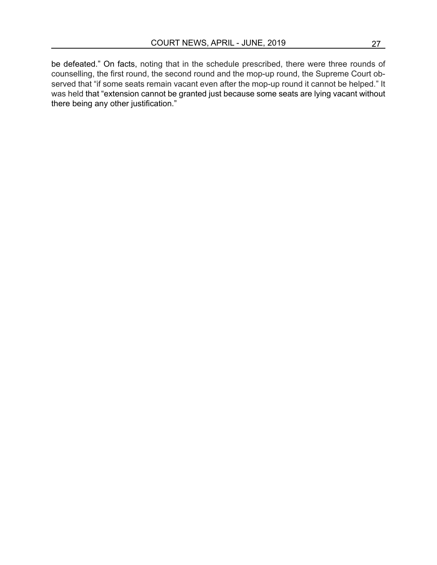be defeated." On facts, noting that in the schedule prescribed, there were three rounds of counselling, the first round, the second round and the mop-up round, the Supreme Court observed that "if some seats remain vacant even after the mop-up round it cannot be helped." It was held that "extension cannot be granted just because some seats are lying vacant without there being any other justification."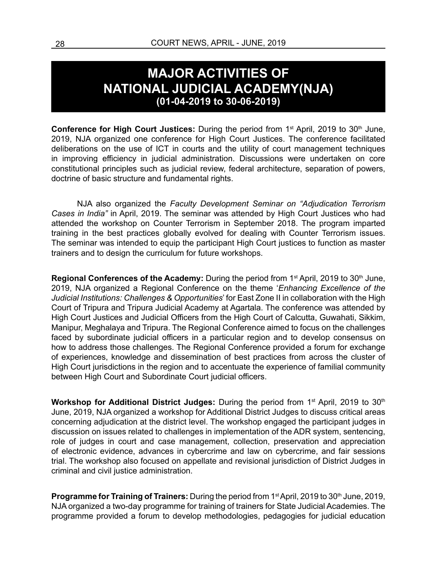## **MAJOR ACTIVITIES OF NATIONAL JUDICIAL ACADEMY(NJA) (01-04-2019 to 30-06-2019)**

**Conference for High Court Justices:** During the period from 1<sup>st</sup> April, 2019 to 30<sup>th</sup> June, 2019, NJA organized one conference for High Court Justices. The conference facilitated deliberations on the use of ICT in courts and the utility of court management techniques in improving efficiency in judicial administration. Discussions were undertaken on core constitutional principles such as judicial review, federal architecture, separation of powers, doctrine of basic structure and fundamental rights.

NJA also organized the *Faculty Development Seminar on "Adjudication Terrorism Cases in India"* in April, 2019. The seminar was attended by High Court Justices who had attended the workshop on Counter Terrorism in September 2018. The program imparted training in the best practices globally evolved for dealing with Counter Terrorism issues. The seminar was intended to equip the participant High Court justices to function as master trainers and to design the curriculum for future workshops.

**Regional Conferences of the Academy:** During the period from 1<sup>st</sup> April, 2019 to 30<sup>th</sup> June, 2019, NJA organized a Regional Conference on the theme '*Enhancing Excellence of the Judicial Institutions: Challenges & Opportunities*' for East Zone II in collaboration with the High Court of Tripura and Tripura Judicial Academy at Agartala. The conference was attended by High Court Justices and Judicial Officers from the High Court of Calcutta, Guwahati, Sikkim, Manipur, Meghalaya and Tripura. The Regional Conference aimed to focus on the challenges faced by subordinate judicial officers in a particular region and to develop consensus on how to address those challenges. The Regional Conference provided a forum for exchange of experiences, knowledge and dissemination of best practices from across the cluster of High Court jurisdictions in the region and to accentuate the experience of familial community between High Court and Subordinate Court judicial officers.

**Workshop for Additional District Judges:** During the period from 1<sup>st</sup> April, 2019 to 30<sup>th</sup> June, 2019, NJA organized a workshop for Additional District Judges to discuss critical areas concerning adjudication at the district level. The workshop engaged the participant judges in discussion on issues related to challenges in implementation of the ADR system, sentencing, role of judges in court and case management, collection, preservation and appreciation of electronic evidence, advances in cybercrime and law on cybercrime, and fair sessions trial. The workshop also focused on appellate and revisional jurisdiction of District Judges in criminal and civil justice administration.

**Programme for Training of Trainers:** During the period from 1<sup>st</sup> April, 2019 to 30<sup>th</sup> June, 2019, NJA organized a two-day programme for training of trainers for State Judicial Academies. The programme provided a forum to develop methodologies, pedagogies for judicial education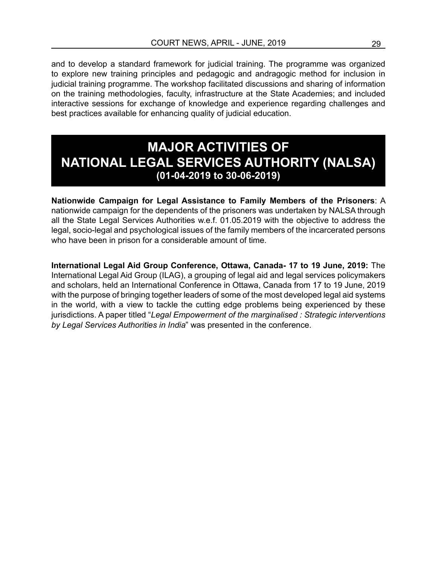and to develop a standard framework for judicial training. The programme was organized to explore new training principles and pedagogic and andragogic method for inclusion in judicial training programme. The workshop facilitated discussions and sharing of information on the training methodologies, faculty, infrastructure at the State Academies; and included interactive sessions for exchange of knowledge and experience regarding challenges and best practices available for enhancing quality of judicial education.

## **MAJOR ACTIVITIES OF NATIONAL LEGAL SERVICES AUTHORITY (NALSA) (01-04-2019 to 30-06-2019)**

**Nationwide Campaign for Legal Assistance to Family Members of the Prisoners**: A nationwide campaign for the dependents of the prisoners was undertaken by NALSA through all the State Legal Services Authorities w.e.f. 01.05.2019 with the objective to address the legal, socio-legal and psychological issues of the family members of the incarcerated persons who have been in prison for a considerable amount of time.

**International Legal Aid Group Conference, Ottawa, Canada- 17 to 19 June, 2019:** The International Legal Aid Group (ILAG), a grouping of legal aid and legal services policymakers and scholars, held an International Conference in Ottawa, Canada from 17 to 19 June, 2019 with the purpose of bringing together leaders of some of the most developed legal aid systems in the world, with a view to tackle the cutting edge problems being experienced by these jurisdictions. A paper titled "*Legal Empowerment of the marginalised : Strategic interventions by Legal Services Authorities in India*" was presented in the conference.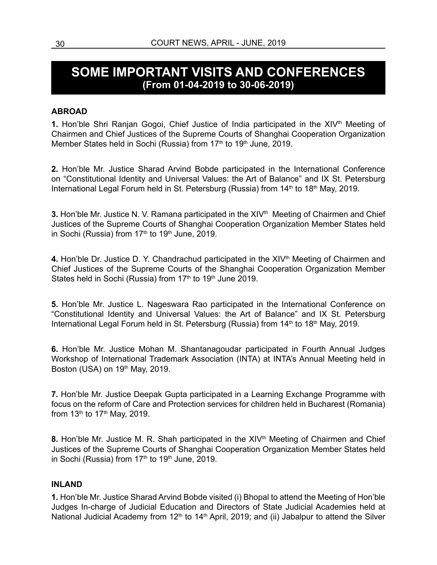## **SOME IMPORTANT VISITS AND CONFERENCES (From 01-04-2019 to 30-06-2019)**

#### **ABROAD**

**1.** Hon'ble Shri Ranjan Gogoi, Chief Justice of India participated in the XIV<sup>th</sup> Meeting of Chairmen and Chief Justices of the Supreme Courts of Shanghai Cooperation Organization Member States held in Sochi (Russia) from 17<sup>th</sup> to 19<sup>th</sup> June, 2019.

**2.** Hon'ble Mr. Justice Sharad Arvind Bobde participated in the International Conference on "Constitutional Identity and Universal Values: the Art of Balance" and IX St. Petersburg International Legal Forum held in St. Petersburg (Russia) from  $14<sup>th</sup>$  to  $18<sup>th</sup>$  May, 2019.

**3.** Hon'ble Mr. Justice N. V. Ramana participated in the XIV<sup>th</sup> Meeting of Chairmen and Chief Justices of the Supreme Courts of Shanghai Cooperation Organization Member States held in Sochi (Russia) from 17<sup>th</sup> to 19<sup>th</sup> June, 2019.

4. Hon'ble Dr. Justice D. Y. Chandrachud participated in the XIV<sup>th</sup> Meeting of Chairmen and Chief Justices of the Supreme Courts of the Shanghai Cooperation Organization Member States held in Sochi (Russia) from 17<sup>th</sup> to 19<sup>th</sup> June 2019.

**5.** Hon'ble Mr. Justice L. Nageswara Rao participated in the International Conference on "Constitutional Identity and Universal Values: the Art of Balance" and IX St. Petersburg International Legal Forum held in St. Petersburg (Russia) from 14<sup>th</sup> to 18<sup>th</sup> May, 2019.

**6.** Hon'ble Mr. Justice Mohan M. Shantanagoudar participated in Fourth Annual Judges Workshop of International Trademark Association (INTA) at INTA's Annual Meeting held in Boston (USA) on  $19<sup>th</sup>$  May, 2019.

**7.** Hon'ble Mr. Justice Deepak Gupta participated in a Learning Exchange Programme with focus on the reform of Care and Protection services for children held in Bucharest (Romania) from  $13^{th}$  to  $17^{th}$  May, 2019.

8. Hon'ble Mr. Justice M. R. Shah participated in the XIV<sup>th</sup> Meeting of Chairmen and Chief Justices of the Supreme Courts of Shanghai Cooperation Organization Member States held in Sochi (Russia) from 17<sup>th</sup> to 19<sup>th</sup> June, 2019.

#### **INLAND**

**1.** Hon'ble Mr. Justice Sharad Arvind Bobde visited (i) Bhopal to attend the Meeting of Hon'ble Judges In-charge of Judicial Education and Directors of State Judicial Academies held at National Judicial Academy from 12<sup>th</sup> to 14<sup>th</sup> April, 2019; and (ii) Jabalpur to attend the Silver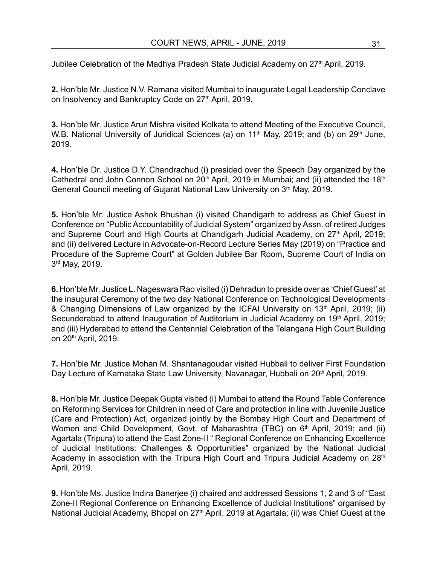Jubilee Celebration of the Madhya Pradesh State Judicial Academy on 27<sup>th</sup> April, 2019.

**2.** Hon'ble Mr. Justice N.V. Ramana visited Mumbai to inaugurate Legal Leadership Conclave on Insolvency and Bankruptcy Code on 27<sup>th</sup> April, 2019.

**3.** Hon'ble Mr. Justice Arun Mishra visited Kolkata to attend Meeting of the Executive Council, W.B. National University of Juridical Sciences (a) on  $11<sup>th</sup>$  May, 2019; and (b) on 29<sup>th</sup> June, 2019.

**4.** Hon'ble Dr. Justice D.Y. Chandrachud (i) presided over the Speech Day organized by the Cathedral and John Connon School on  $20<sup>th</sup>$  April, 2019 in Mumbai; and (ii) attended the 18<sup>th</sup> General Council meeting of Gujarat National Law University on 3rd May, 2019.

**5.** Hon'ble Mr. Justice Ashok Bhushan (i) visited Chandigarh to address as Chief Guest in Conference on "Public Accountability of Judicial System" organized by Assn. of retired Judges and Supreme Court and High Courts at Chandigarh Judicial Academy, on  $27<sup>th</sup>$  April, 2019; and (ii) delivered Lecture in Advocate-on-Record Lecture Series May (2019) on "Practice and Procedure of the Supreme Court" at Golden Jubilee Bar Room, Supreme Court of India on 3rd May, 2019.

**6.** Hon'ble Mr. Justice L. Nageswara Rao visited (i) Dehradun to preside over as 'Chief Guest' at the inaugural Ceremony of the two day National Conference on Technological Developments & Changing Dimensions of Law organized by the ICFAI University on 13<sup>th</sup> April, 2019; (ii) Secunderabad to attend Inauguration of Auditorium in Judicial Academy on 19th April, 2019; and (iii) Hyderabad to attend the Centennial Celebration of the Telangana High Court Building on 20th April, 2019.

**7.** Hon'ble Mr. Justice Mohan M. Shantanagoudar visited Hubbali to deliver First Foundation Day Lecture of Karnataka State Law University, Navanagar, Hubbali on 20<sup>th</sup> April, 2019.

**8.** Hon'ble Mr. Justice Deepak Gupta visited (i) Mumbai to attend the Round Table Conference on Reforming Services for Children in need of Care and protection in line with Juvenile Justice (Care and Protection) Act, organized jointly by the Bombay High Court and Department of Women and Child Development, Govt. of Maharashtra (TBC) on 6<sup>th</sup> April, 2019; and (ii) Agartala (Tripura) to attend the East Zone-II " Regional Conference on Enhancing Excellence of Judicial Institutions: Challenges & Opportunities" organized by the National Judicial Academy in association with the Tripura High Court and Tripura Judicial Academy on 28<sup>th</sup> April, 2019.

**9.** Hon'ble Ms. Justice Indira Banerjee (i) chaired and addressed Sessions 1, 2 and 3 of "East Zone-II Regional Conference on Enhancing Excellence of Judicial Institutions" organised by National Judicial Academy, Bhopal on 27<sup>th</sup> April, 2019 at Agartala; (ii) was Chief Guest at the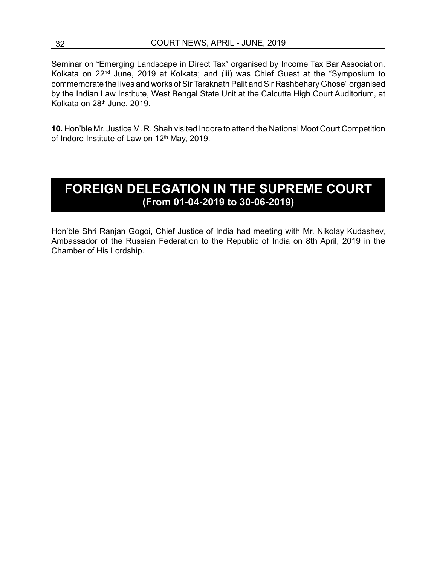Seminar on "Emerging Landscape in Direct Tax" organised by Income Tax Bar Association, Kolkata on 22nd June, 2019 at Kolkata; and (iii) was Chief Guest at the "Symposium to commemorate the lives and works of Sir Taraknath Palit and Sir Rashbehary Ghose" organised by the Indian Law Institute, West Bengal State Unit at the Calcutta High Court Auditorium, at Kolkata on 28<sup>th</sup> June, 2019.

**10.** Hon'ble Mr. Justice M. R. Shah visited Indore to attend the National Moot Court Competition of Indore Institute of Law on 12<sup>th</sup> May, 2019.

## **FOREIGN DELEGATION IN THE SUPREME COURT (From 01-04-2019 to 30-06-2019)**

Hon'ble Shri Ranjan Gogoi, Chief Justice of India had meeting with Mr. Nikolay Kudashev, Ambassador of the Russian Federation to the Republic of India on 8th April, 2019 in the Chamber of His Lordship.